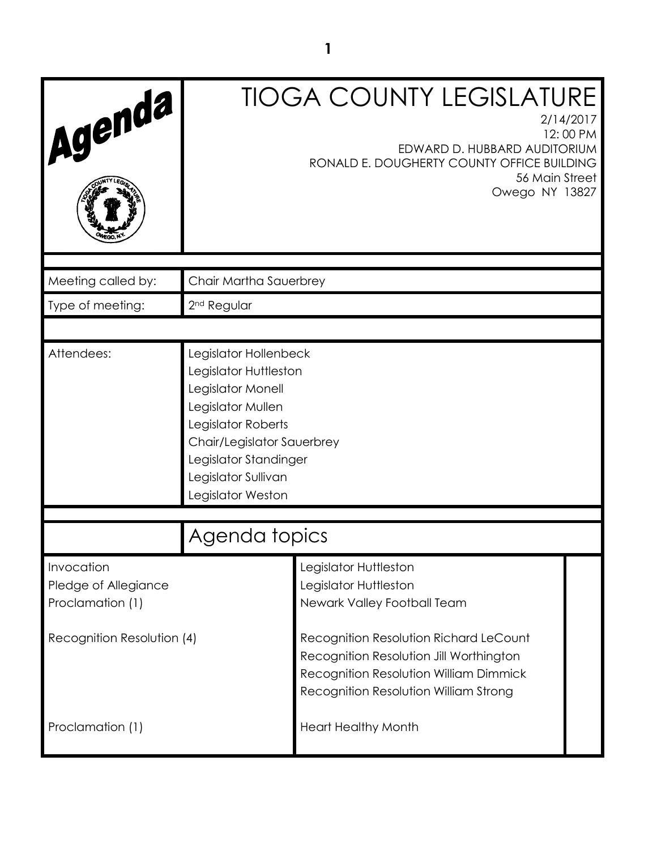| Agenda                                                 |                                                                                                                                                                                                                   | <b>TIOGA COUNTY LEGISLATURE</b><br>2/14/2017<br>12:00 PM<br>EDWARD D. HUBBARD AUDITORIUM<br>RONALD E. DOUGHERTY COUNTY OFFICE BUILDING<br>56 Main Street<br>Owego NY 13827  |  |
|--------------------------------------------------------|-------------------------------------------------------------------------------------------------------------------------------------------------------------------------------------------------------------------|-----------------------------------------------------------------------------------------------------------------------------------------------------------------------------|--|
| Meeting called by:                                     | Chair Martha Sauerbrey                                                                                                                                                                                            |                                                                                                                                                                             |  |
| Type of meeting:                                       | 2 <sup>nd</sup> Regular                                                                                                                                                                                           |                                                                                                                                                                             |  |
| Attendees:                                             | Legislator Hollenbeck<br>Legislator Huttleston<br>Legislator Monell<br>Legislator Mullen<br>Legislator Roberts<br>Chair/Legislator Sauerbrey<br>Legislator Standinger<br>Legislator Sullivan<br>Legislator Weston |                                                                                                                                                                             |  |
|                                                        | Agenda topics                                                                                                                                                                                                     |                                                                                                                                                                             |  |
| Invocation<br>Pledge of Allegiance<br>Proclamation (1) |                                                                                                                                                                                                                   | Legislator Huttleston<br>Legislator Huttleston<br>Newark Valley Football Team                                                                                               |  |
| Recognition Resolution (4)                             |                                                                                                                                                                                                                   | Recognition Resolution Richard LeCount<br>Recognition Resolution Jill Worthington<br><b>Recognition Resolution William Dimmick</b><br>Recognition Resolution William Strong |  |
| Proclamation (1)                                       |                                                                                                                                                                                                                   | <b>Heart Healthy Month</b>                                                                                                                                                  |  |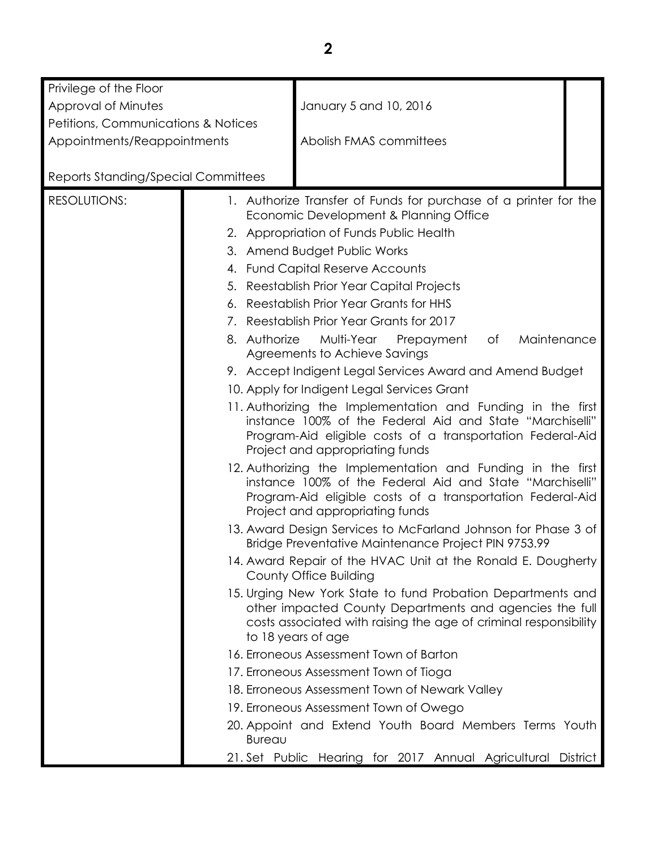| Privilege of the Floor                     |                                                                                                                                                           |                                                                                                                                                                                                                          |          |
|--------------------------------------------|-----------------------------------------------------------------------------------------------------------------------------------------------------------|--------------------------------------------------------------------------------------------------------------------------------------------------------------------------------------------------------------------------|----------|
| Approval of Minutes                        |                                                                                                                                                           | January 5 and 10, 2016                                                                                                                                                                                                   |          |
| Petitions, Communications & Notices        |                                                                                                                                                           |                                                                                                                                                                                                                          |          |
| Appointments/Reappointments                |                                                                                                                                                           | Abolish FMAS committees                                                                                                                                                                                                  |          |
|                                            |                                                                                                                                                           |                                                                                                                                                                                                                          |          |
| <b>Reports Standing/Special Committees</b> |                                                                                                                                                           |                                                                                                                                                                                                                          |          |
| <b>RESOLUTIONS:</b>                        |                                                                                                                                                           | 1. Authorize Transfer of Funds for purchase of a printer for the                                                                                                                                                         |          |
|                                            |                                                                                                                                                           | Economic Development & Planning Office                                                                                                                                                                                   |          |
|                                            |                                                                                                                                                           | 2. Appropriation of Funds Public Health                                                                                                                                                                                  |          |
|                                            |                                                                                                                                                           | 3. Amend Budget Public Works                                                                                                                                                                                             |          |
|                                            |                                                                                                                                                           | 4. Fund Capital Reserve Accounts                                                                                                                                                                                         |          |
|                                            |                                                                                                                                                           | 5. Reestablish Prior Year Capital Projects                                                                                                                                                                               |          |
|                                            |                                                                                                                                                           | 6. Reestablish Prior Year Grants for HHS                                                                                                                                                                                 |          |
|                                            |                                                                                                                                                           | 7. Reestablish Prior Year Grants for 2017                                                                                                                                                                                |          |
|                                            | 8. Authorize                                                                                                                                              | Multi-Year<br>of<br>Maintenance<br>Prepayment<br>Agreements to Achieve Savings                                                                                                                                           |          |
|                                            |                                                                                                                                                           | 9. Accept Indigent Legal Services Award and Amend Budget                                                                                                                                                                 |          |
|                                            | 10. Apply for Indigent Legal Services Grant                                                                                                               |                                                                                                                                                                                                                          |          |
|                                            | 11. Authorizing the Implementation and Funding in the first                                                                                               |                                                                                                                                                                                                                          |          |
|                                            | instance 100% of the Federal Aid and State "Marchiselli"<br>Program-Aid eligible costs of a transportation Federal-Aid<br>Project and appropriating funds |                                                                                                                                                                                                                          |          |
|                                            |                                                                                                                                                           | 12. Authorizing the Implementation and Funding in the first<br>instance 100% of the Federal Aid and State "Marchiselli"<br>Program-Aid eligible costs of a transportation Federal-Aid<br>Project and appropriating funds |          |
|                                            |                                                                                                                                                           | 13. Award Design Services to McFarland Johnson for Phase 3 of<br>Bridge Preventative Maintenance Project PIN 9753.99                                                                                                     |          |
|                                            |                                                                                                                                                           | 14. Award Repair of the HVAC Unit at the Ronald E. Dougherty<br>County Office Building                                                                                                                                   |          |
|                                            |                                                                                                                                                           | 15. Urging New York State to fund Probation Departments and<br>other impacted County Departments and agencies the full<br>costs associated with raising the age of criminal responsibility<br>to 18 years of age         |          |
|                                            |                                                                                                                                                           | 16. Erroneous Assessment Town of Barton                                                                                                                                                                                  |          |
|                                            |                                                                                                                                                           | 17. Erroneous Assessment Town of Tioga                                                                                                                                                                                   |          |
|                                            | 18. Erroneous Assessment Town of Newark Valley                                                                                                            |                                                                                                                                                                                                                          |          |
|                                            | 19. Erroneous Assessment Town of Owego                                                                                                                    |                                                                                                                                                                                                                          |          |
|                                            | <b>Bureau</b>                                                                                                                                             | 20. Appoint and Extend Youth Board Members Terms Youth                                                                                                                                                                   |          |
|                                            |                                                                                                                                                           | 21. Set Public Hearing for 2017 Annual Agricultural                                                                                                                                                                      | District |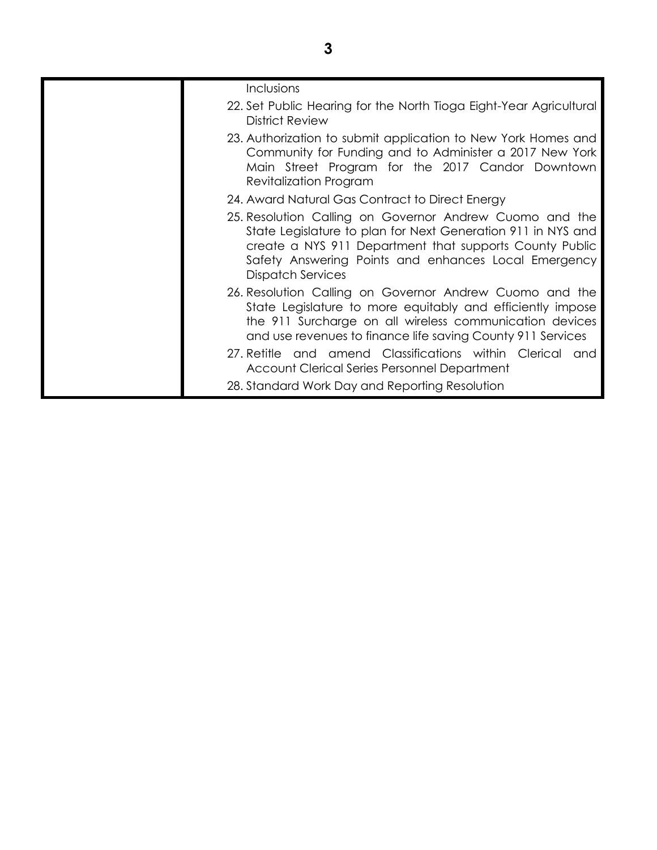|  | Inclusions<br>22. Set Public Hearing for the North Tioga Eight-Year Agricultural<br><b>District Review</b>                                                                                                                                                             |
|--|------------------------------------------------------------------------------------------------------------------------------------------------------------------------------------------------------------------------------------------------------------------------|
|  | 23. Authorization to submit application to New York Homes and<br>Community for Funding and to Administer a 2017 New York<br>Main Street Program for the 2017 Candor Downtown<br>Revitalization Program                                                                 |
|  | 24. Award Natural Gas Contract to Direct Energy                                                                                                                                                                                                                        |
|  | 25. Resolution Calling on Governor Andrew Cuomo and the<br>State Legislature to plan for Next Generation 911 in NYS and<br>create a NYS 911 Department that supports County Public<br>Safety Answering Points and enhances Local Emergency<br><b>Dispatch Services</b> |
|  | 26. Resolution Calling on Governor Andrew Cuomo and the<br>State Legislature to more equitably and efficiently impose<br>the 911 Surcharge on all wireless communication devices<br>and use revenues to finance life saving County 911 Services                        |
|  | 27. Retitle and amend Classifications within Clerical and<br>Account Clerical Series Personnel Department                                                                                                                                                              |
|  | 28. Standard Work Day and Reporting Resolution                                                                                                                                                                                                                         |
|  |                                                                                                                                                                                                                                                                        |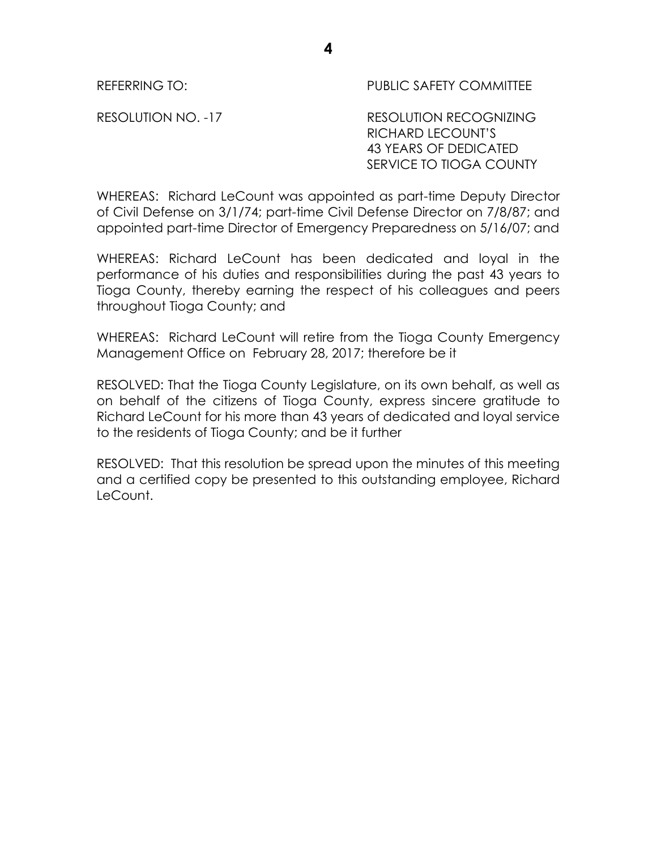REFERRING TO: THE PUBLIC SAFETY COMMITTEE

RESOLUTION NO. -17 RESOLUTION RECOGNIZING RICHARD LECOUNT'S 43 YEARS OF DEDICATED SERVICE TO TIOGA COUNTY

WHEREAS: Richard LeCount was appointed as part-time Deputy Director of Civil Defense on 3/1/74; part-time Civil Defense Director on 7/8/87; and appointed part-time Director of Emergency Preparedness on 5/16/07; and

WHEREAS: Richard LeCount has been dedicated and loyal in the performance of his duties and responsibilities during the past 43 years to Tioga County, thereby earning the respect of his colleagues and peers throughout Tioga County; and

WHEREAS: Richard LeCount will retire from the Tioga County Emergency Management Office on February 28, 2017; therefore be it

RESOLVED: That the Tioga County Legislature, on its own behalf, as well as on behalf of the citizens of Tioga County, express sincere gratitude to Richard LeCount for his more than 43 years of dedicated and loyal service to the residents of Tioga County; and be it further

RESOLVED: That this resolution be spread upon the minutes of this meeting and a certified copy be presented to this outstanding employee, Richard LeCount.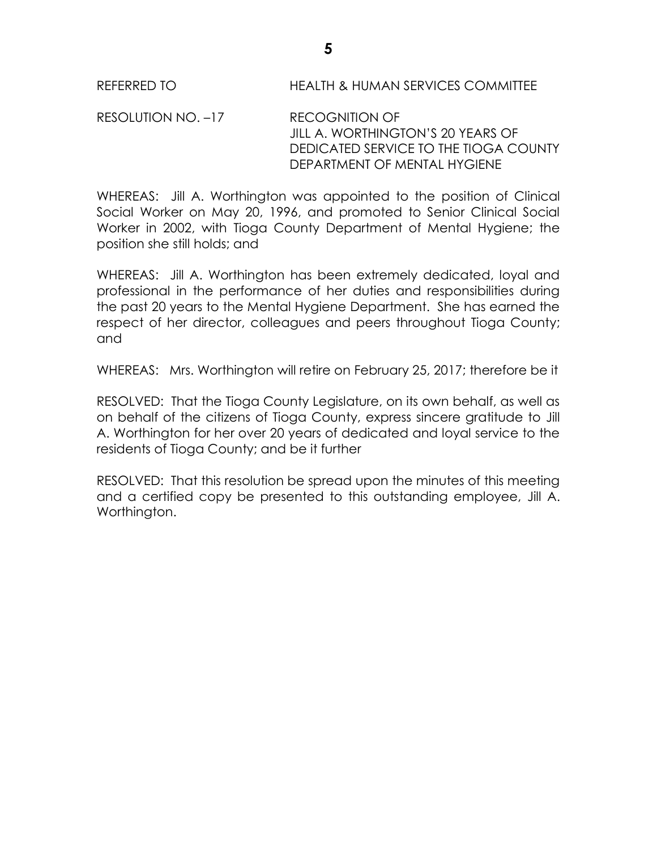REFERRED TO HEALTH & HUMAN SERVICES COMMITTEE

RESOLUTION NO. –17 RECOGNITION OF JILL A. WORTHINGTON'S 20 YEARS OF DEDICATED SERVICE TO THE TIOGA COUNTY DEPARTMENT OF MENTAL HYGIENE

WHEREAS: Jill A. Worthington was appointed to the position of Clinical Social Worker on May 20, 1996, and promoted to Senior Clinical Social Worker in 2002, with Tioga County Department of Mental Hygiene; the position she still holds; and

WHEREAS: Jill A. Worthington has been extremely dedicated, loyal and professional in the performance of her duties and responsibilities during the past 20 years to the Mental Hygiene Department. She has earned the respect of her director, colleagues and peers throughout Tioga County; and

WHEREAS: Mrs. Worthington will retire on February 25, 2017; therefore be it

RESOLVED: That the Tioga County Legislature, on its own behalf, as well as on behalf of the citizens of Tioga County, express sincere gratitude to Jill A. Worthington for her over 20 years of dedicated and loyal service to the residents of Tioga County; and be it further

RESOLVED: That this resolution be spread upon the minutes of this meeting and a certified copy be presented to this outstanding employee, Jill A. Worthington.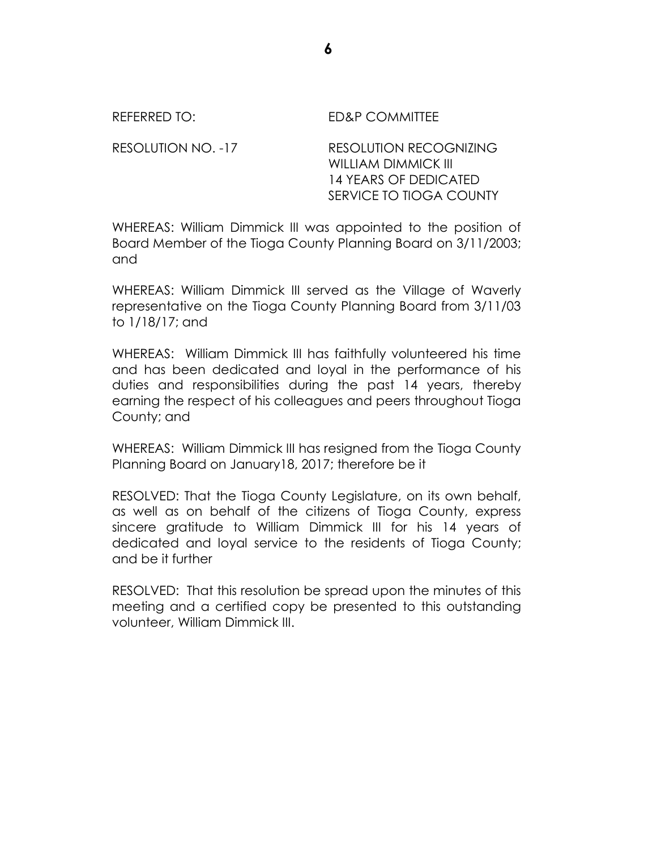| REFERRED TO:       | ED&P COMMITTEE                                |
|--------------------|-----------------------------------------------|
| RESOLUTION NO. -17 | RESOLUTION RECOGNIZING<br>WILLIAM DIMMICK III |

WHEREAS: William Dimmick III was appointed to the position of Board Member of the Tioga County Planning Board on 3/11/2003; and

14 YEARS OF DEDICATED SERVICE TO TIOGA COUNTY

WHEREAS: William Dimmick III served as the Village of Waverly representative on the Tioga County Planning Board from 3/11/03 to 1/18/17; and

WHEREAS: William Dimmick III has faithfully volunteered his time and has been dedicated and loyal in the performance of his duties and responsibilities during the past 14 years, thereby earning the respect of his colleagues and peers throughout Tioga County; and

WHEREAS: William Dimmick III has resigned from the Tioga County Planning Board on January18, 2017; therefore be it

RESOLVED: That the Tioga County Legislature, on its own behalf, as well as on behalf of the citizens of Tioga County, express sincere gratitude to William Dimmick III for his 14 years of dedicated and loyal service to the residents of Tioga County; and be it further

RESOLVED: That this resolution be spread upon the minutes of this meeting and a certified copy be presented to this outstanding volunteer, William Dimmick III.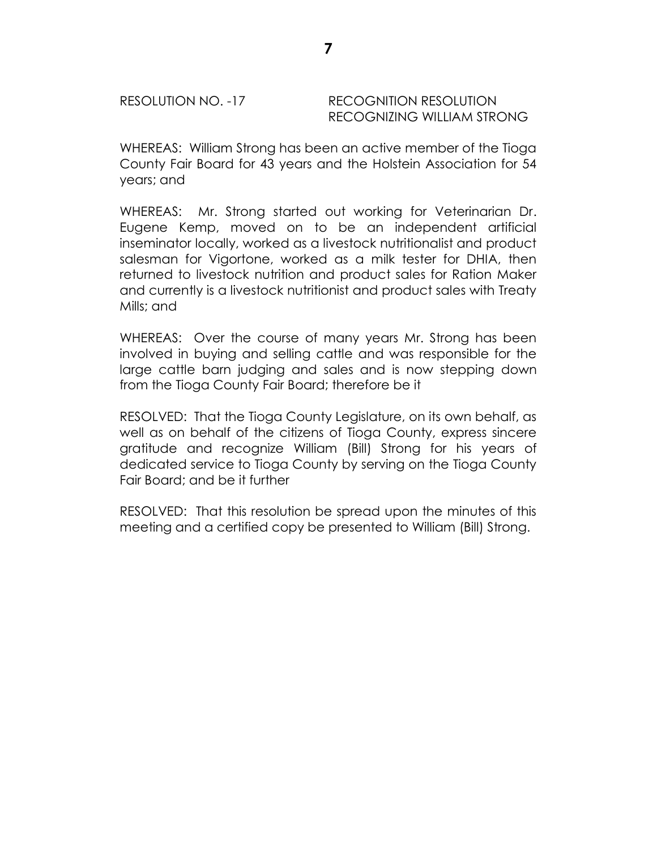## RESOLUTION NO. -17 RECOGNITION RESOLUTION RECOGNIZING WILLIAM STRONG

WHEREAS: William Strong has been an active member of the Tioga County Fair Board for 43 years and the Holstein Association for 54 years; and

WHEREAS: Mr. Strong started out working for Veterinarian Dr. Eugene Kemp, moved on to be an independent artificial inseminator locally, worked as a livestock nutritionalist and product salesman for Vigortone, worked as a milk tester for DHIA, then returned to livestock nutrition and product sales for Ration Maker and currently is a livestock nutritionist and product sales with Treaty Mills; and

WHEREAS: Over the course of many years Mr. Strong has been involved in buying and selling cattle and was responsible for the large cattle barn judging and sales and is now stepping down from the Tioga County Fair Board; therefore be it

RESOLVED: That the Tioga County Legislature, on its own behalf, as well as on behalf of the citizens of Tioga County, express sincere gratitude and recognize William (Bill) Strong for his years of dedicated service to Tioga County by serving on the Tioga County Fair Board; and be it further

RESOLVED: That this resolution be spread upon the minutes of this meeting and a certified copy be presented to William (Bill) Strong.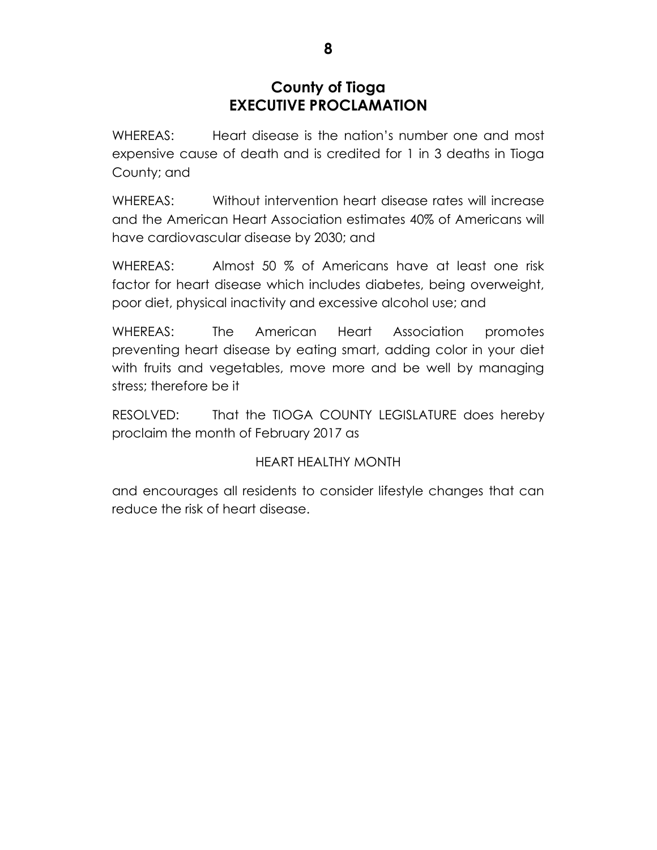# **County of Tioga EXECUTIVE PROCLAMATION**

WHEREAS: Heart disease is the nation's number one and most expensive cause of death and is credited for 1 in 3 deaths in Tioga County; and

WHEREAS: Without intervention heart disease rates will increase and the American Heart Association estimates 40% of Americans will have cardiovascular disease by 2030; and

WHEREAS: Almost 50 % of Americans have at least one risk factor for heart disease which includes diabetes, being overweight, poor diet, physical inactivity and excessive alcohol use; and

WHEREAS: The American Heart Association promotes preventing heart disease by eating smart, adding color in your diet with fruits and vegetables, move more and be well by managing stress; therefore be it

RESOLVED: That the TIOGA COUNTY LEGISLATURE does hereby proclaim the month of February 2017 as

# HEART HEALTHY MONTH

and encourages all residents to consider lifestyle changes that can reduce the risk of heart disease.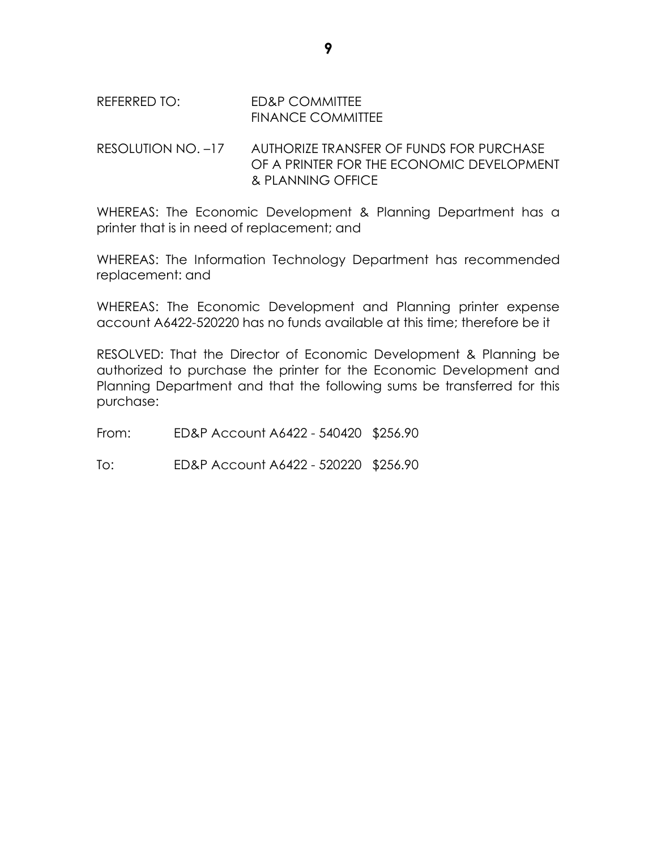## REFERRED TO: ED&P COMMITTEE FINANCE COMMITTEE

## RESOLUTION NO. –17 AUTHORIZE TRANSFER OF FUNDS FOR PURCHASE OF A PRINTER FOR THE ECONOMIC DEVELOPMENT & PLANNING OFFICE

WHEREAS: The Economic Development & Planning Department has a printer that is in need of replacement; and

WHEREAS: The Information Technology Department has recommended replacement: and

WHEREAS: The Economic Development and Planning printer expense account A6422-520220 has no funds available at this time; therefore be it

RESOLVED: That the Director of Economic Development & Planning be authorized to purchase the printer for the Economic Development and Planning Department and that the following sums be transferred for this purchase:

From: ED&P Account A6422 - 540420 \$256.90

To: ED&P Account A6422 - 520220 \$256.90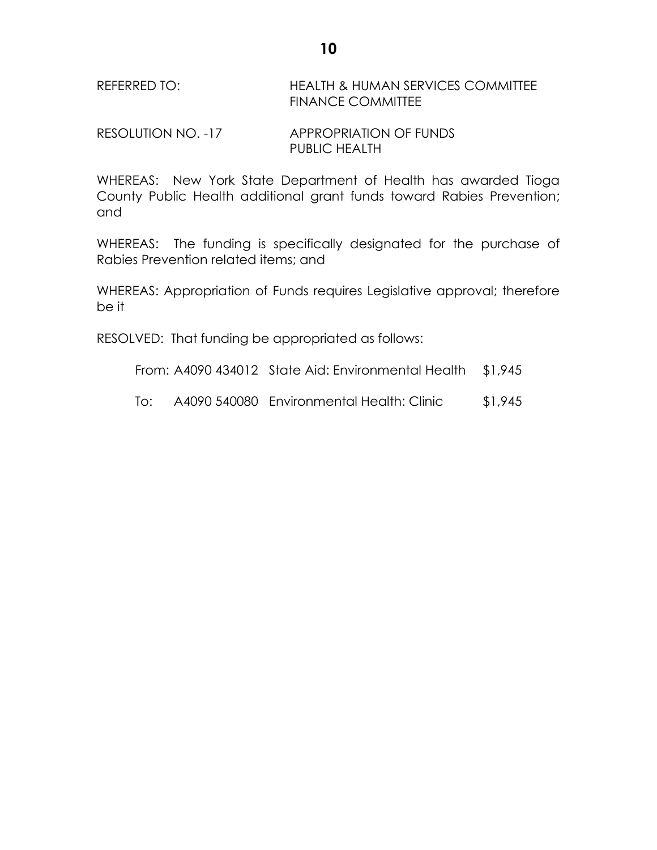RESOLUTION NO. -17 APPROPRIATION OF FUNDS PUBLIC HEALTH

WHEREAS: New York State Department of Health has awarded Tioga County Public Health additional grant funds toward Rabies Prevention; and

WHEREAS: The funding is specifically designated for the purchase of Rabies Prevention related items; and

WHEREAS: Appropriation of Funds requires Legislative approval; therefore be it

RESOLVED: That funding be appropriated as follows:

From: A4090 434012 State Aid: Environmental Health \$1,945

To: A4090 540080 Environmental Health: Clinic \$1,945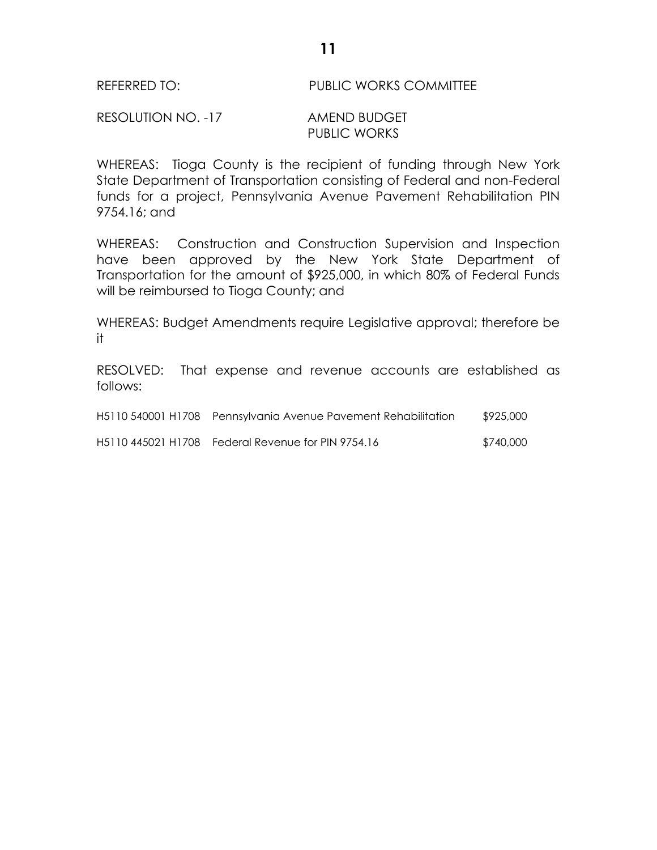### REFERRED TO: PUBLIC WORKS COMMITTEE

## RESOLUTION NO. -17 AMEND BUDGET PUBLIC WORKS

WHEREAS: Tioga County is the recipient of funding through New York State Department of Transportation consisting of Federal and non-Federal funds for a project, Pennsylvania Avenue Pavement Rehabilitation PIN 9754.16; and

WHEREAS: Construction and Construction Supervision and Inspection have been approved by the New York State Department of Transportation for the amount of \$925,000, in which 80% of Federal Funds will be reimbursed to Tioga County; and

WHEREAS: Budget Amendments require Legislative approval; therefore be it

RESOLVED: That expense and revenue accounts are established as follows:

| H5110 540001 H1708 Pennsylvania Avenue Pavement Rehabilitation | \$925,000 |
|----------------------------------------------------------------|-----------|
| H5110 445021 H1708 Federal Revenue for PIN 9754.16             | \$740,000 |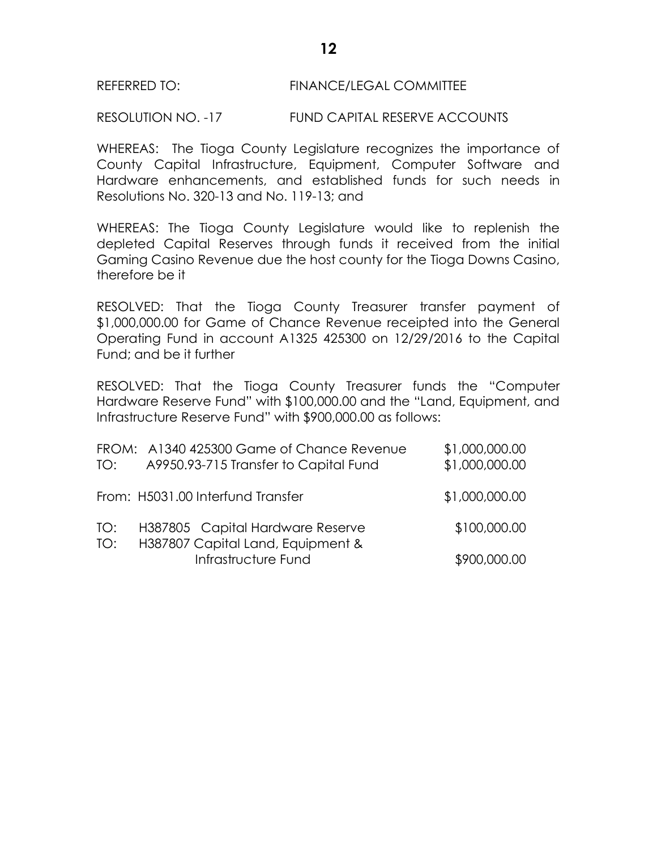## REFERRED TO: FINANCE/LEGAL COMMITTEE

RESOLUTION NO. -17 FUND CAPITAL RESERVE ACCOUNTS

WHEREAS: The Tioga County Legislature recognizes the importance of County Capital Infrastructure, Equipment, Computer Software and Hardware enhancements, and established funds for such needs in Resolutions No. 320-13 and No. 119-13; and

WHEREAS: The Tioga County Legislature would like to replenish the depleted Capital Reserves through funds it received from the initial Gaming Casino Revenue due the host county for the Tioga Downs Casino, therefore be it

RESOLVED: That the Tioga County Treasurer transfer payment of \$1,000,000.00 for Game of Chance Revenue receipted into the General Operating Fund in account A1325 425300 on 12/29/2016 to the Capital Fund; and be it further

RESOLVED: That the Tioga County Treasurer funds the "Computer Hardware Reserve Fund" with \$100,000.00 and the "Land, Equipment, and Infrastructure Reserve Fund" with \$900,000.00 as follows:

| TO:        | FROM: A1340 425300 Game of Chance Revenue<br>A9950.93-715 Transfer to Capital Fund | \$1,000,000.00<br>\$1,000,000.00 |
|------------|------------------------------------------------------------------------------------|----------------------------------|
|            | From: H5031.00 Interfund Transfer                                                  | \$1,000,000.00                   |
| TO:<br>TO: | H387805 Capital Hardware Reserve<br>H387807 Capital Land, Equipment &              | \$100,000.00                     |
|            | Infrastructure Fund                                                                | \$900,000.00                     |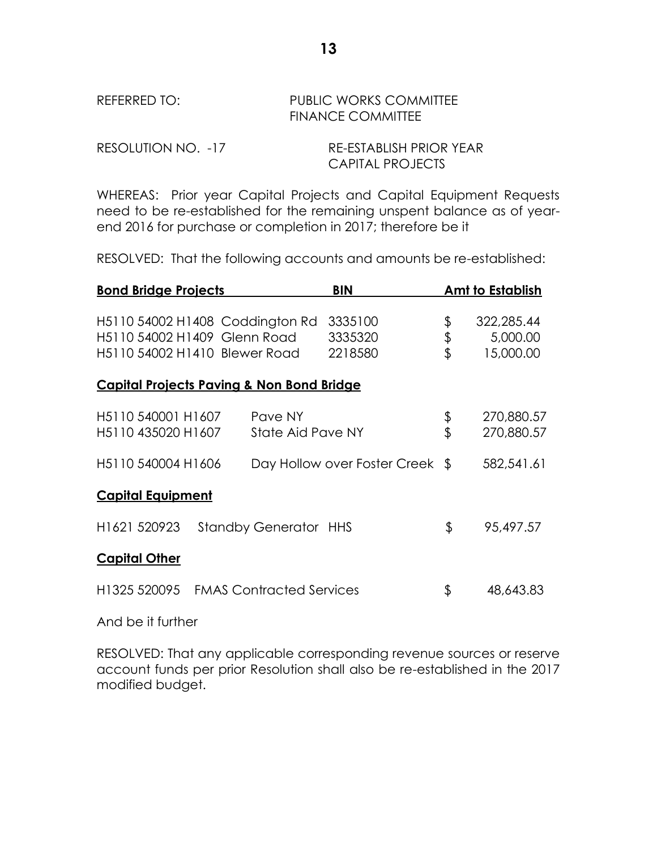## REFERRED TO: PUBLIC WORKS COMMITTEE FINANCE COMMITTEE

| RESOLUTION NO. -17 | RE-ESTABLISH PRIOR YEAR |
|--------------------|-------------------------|
|                    | <b>CAPITAL PROJECTS</b> |

WHEREAS: Prior year Capital Projects and Capital Equipment Requests need to be re-established for the remaining unspent balance as of yearend 2016 for purchase or completion in 2017; therefore be it

RESOLVED: That the following accounts and amounts be re-established:

| <b>Bond Bridge Projects</b>                                                                      |                                 | <b>BIN</b>                      |                | <b>Amt to Establish</b>             |
|--------------------------------------------------------------------------------------------------|---------------------------------|---------------------------------|----------------|-------------------------------------|
| H5110 54002 H1408 Coddington Rd<br>H5110 54002 H1409 Glenn Road<br>H5110 54002 H1410 Blewer Road |                                 | 3335100<br>3335320<br>2218580   | \$<br>\$<br>\$ | 322,285.44<br>5,000.00<br>15,000.00 |
| <b>Capital Projects Paving &amp; Non Bond Bridge</b>                                             |                                 |                                 |                |                                     |
| H5110 540001 H1607<br>H5110 435020 H1607                                                         | Pave NY<br>State Aid Pave NY    |                                 | \$<br>\$       | 270,880.57<br>270,880.57            |
| H5110 540004 H1606                                                                               |                                 | Day Hollow over Foster Creek \$ |                | 582,541.61                          |
| <b>Capital Equipment</b>                                                                         |                                 |                                 |                |                                     |
| H1621 520923                                                                                     | <b>Standby Generator HHS</b>    |                                 | \$             | 95,497.57                           |
| <b>Capital Other</b>                                                                             |                                 |                                 |                |                                     |
| H1325 520095                                                                                     | <b>FMAS Contracted Services</b> |                                 | \$             | 48,643.83                           |

And be it further

RESOLVED: That any applicable corresponding revenue sources or reserve account funds per prior Resolution shall also be re-established in the 2017 modified budget.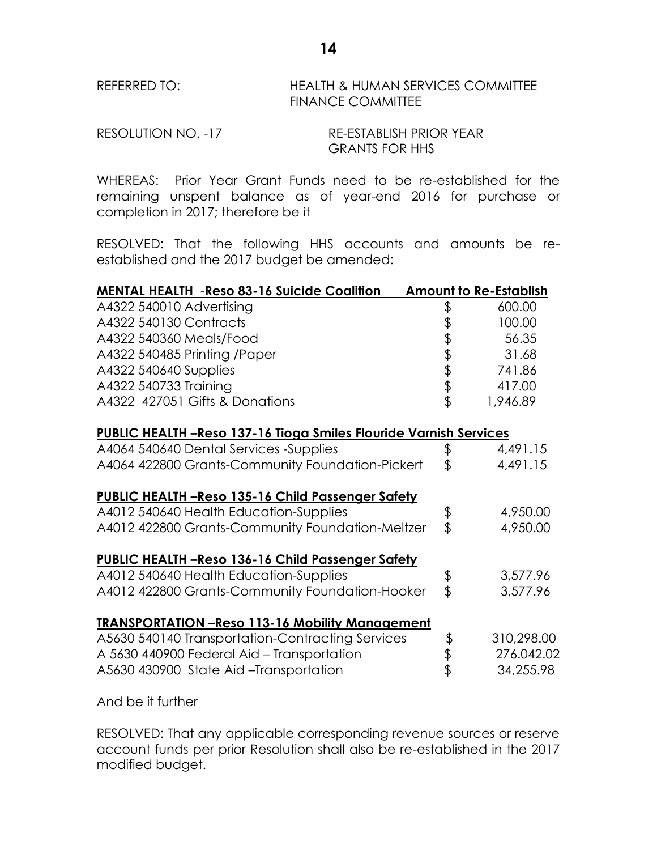## REFERRED TO: HEALTH & HUMAN SERVICES COMMITTEE FINANCE COMMITTEE

RESOLUTION NO. -17 RE-ESTABLISH PRIOR YEAR GRANTS FOR HHS

WHEREAS: Prior Year Grant Funds need to be re-established for the remaining unspent balance as of year-end 2016 for purchase or completion in 2017; therefore be it

RESOLVED: That the following HHS accounts and amounts be reestablished and the 2017 budget be amended:

| <b>MENTAL HEALTH -Reso 83-16 Suicide Coalition</b>                        |          | <b>Amount to Re-Establish</b> |
|---------------------------------------------------------------------------|----------|-------------------------------|
| A4322 540010 Advertising                                                  | \$       | 600.00                        |
| A4322 540130 Contracts                                                    |          | 100.00                        |
| A4322 540360 Meals/Food                                                   |          | 56.35                         |
| A4322 540485 Printing / Paper                                             |          | 31.68                         |
| A4322 540640 Supplies                                                     | もまままま    | 741.86                        |
| A4322 540733 Training                                                     |          | 417.00                        |
| A4322 427051 Gifts & Donations                                            |          | 1,946.89                      |
| <b>PUBLIC HEALTH - Reso 137-16 Tioga Smiles Flouride Varnish Services</b> |          |                               |
| A4064 540640 Dental Services -Supplies                                    | \$       | 4,491.15                      |
| A4064 422800 Grants-Community Foundation-Pickert                          | \$       | 4,491.15                      |
| <b>PUBLIC HEALTH -Reso 135-16 Child Passenger Safety</b>                  |          |                               |
| A4012 540640 Health Education-Supplies                                    | \$       | 4,950.00                      |
| A4012 422800 Grants-Community Foundation-Meltzer                          | \$       | 4,950.00                      |
| <b>PUBLIC HEALTH -Reso 136-16 Child Passenger Safety</b>                  |          |                               |
| A4012 540640 Health Education-Supplies                                    | \$       | 3,577.96                      |
| A4012 422800 Grants-Community Foundation-Hooker                           | \$       | 3,577.96                      |
| <b>TRANSPORTATION -Reso 113-16 Mobility Management</b>                    |          |                               |
| A5630 540140 Transportation-Contracting Services                          |          | 310,298.00                    |
| A 5630 440900 Federal Aid - Transportation                                | \$<br>\$ | 276.042.02                    |
| A5630 430900 State Aid-Transportation                                     |          | 34,255.98                     |

And be it further

RESOLVED: That any applicable corresponding revenue sources or reserve account funds per prior Resolution shall also be re-established in the 2017 modified budget.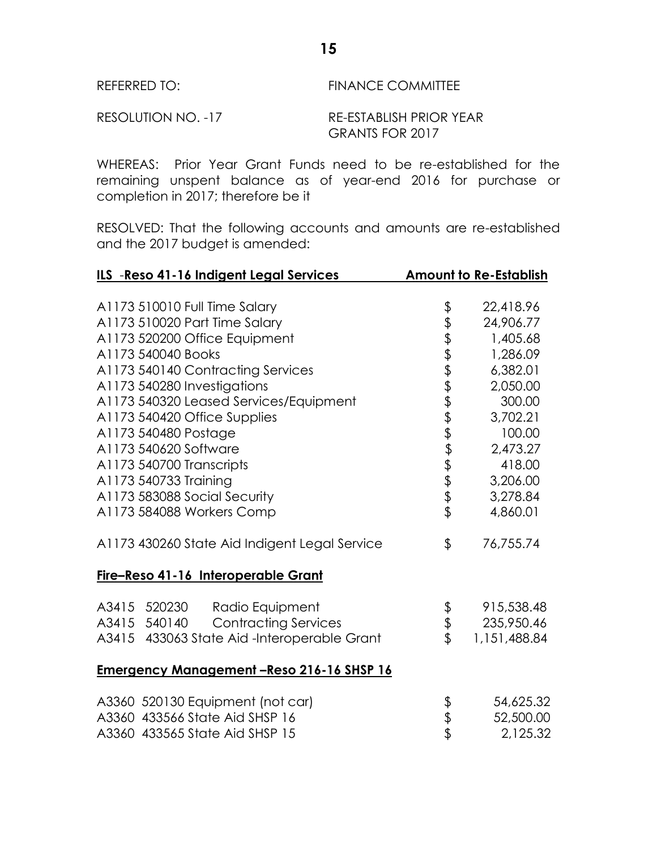# REFERRED TO: FINANCE COMMITTEE RESOLUTION NO. -17 RE-ESTABLISH PRIOR YEAR

WHEREAS: Prior Year Grant Funds need to be re-established for the remaining unspent balance as of year-end 2016 for purchase or completion in 2017; therefore be it

GRANTS FOR 2017

RESOLVED: That the following accounts and amounts are re-established and the 2017 budget is amended:

| ILS -Reso 41-16 Indigent Legal Services         |             | <b>Amount to Re-Establish</b> |
|-------------------------------------------------|-------------|-------------------------------|
|                                                 |             |                               |
| A1173 510010 Full Time Salary                   | \$          | 22,418.96                     |
| A1173 510020 Part Time Salary                   | きおますますまままま  | 24,906.77                     |
| A1173 520200 Office Equipment                   |             | 1,405.68                      |
| A1173 540040 Books                              |             | 1,286.09                      |
| A1173 540140 Contracting Services               |             | 6,382.01                      |
| A1173 540280 Investigations                     |             | 2,050.00                      |
| A1173 540320 Leased Services/Equipment          |             | 300.00                        |
| A1173 540420 Office Supplies                    |             | 3,702.21                      |
| A1173 540480 Postage                            |             | 100.00                        |
| A1173 540620 Software                           |             | 2,473.27                      |
| A1173 540700 Transcripts                        |             | 418.00                        |
| A1173 540733 Training                           |             | 3,206.00                      |
| A1173 583088 Social Security                    |             | 3,278.84                      |
| A1173 584088 Workers Comp                       |             | 4,860.01                      |
| A1173 430260 State Aid Indigent Legal Service   | \$          | 76,755.74                     |
| Fire-Reso 41-16 Interoperable Grant             |             |                               |
| A3415 520230 Radio Equipment                    |             | 915,538.48                    |
| <b>Contracting Services</b><br>A3415 540140     | ५<br>१<br>१ | 235,950.46                    |
| A3415 433063 State Aid-Interoperable Grant      |             | 1,151,488.84                  |
| <b>Emergency Management-Reso 216-16 SHSP 16</b> |             |                               |
| A3360 520130 Equipment (not car)                |             | 54,625.32                     |
| A3360 433566 State Aid SHSP 16                  |             | 52,500.00                     |
| A3360 433565 State Aid SHSP 15                  | マネマ         | 2,125.32                      |
|                                                 |             |                               |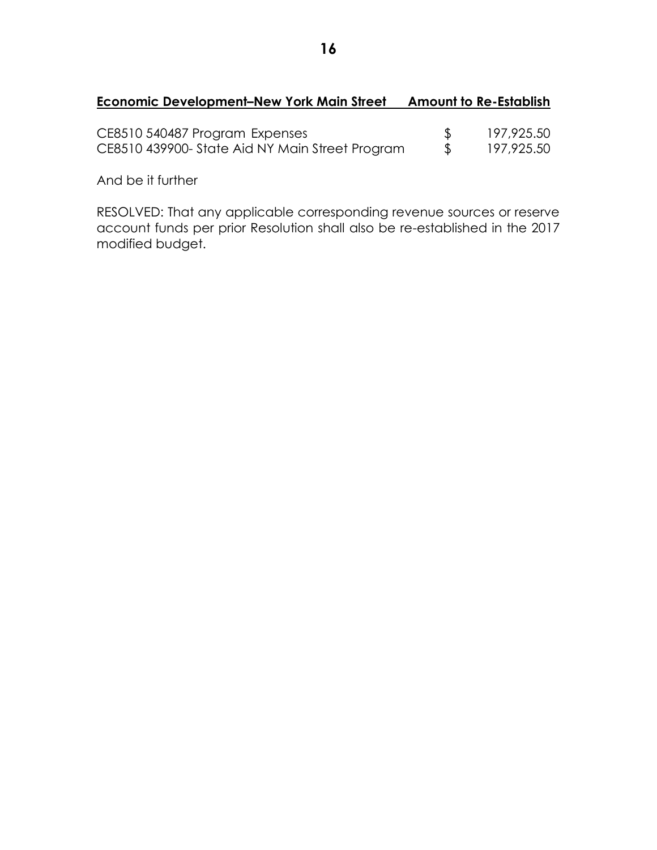## **Economic Development–New York Main Street Amount to Re-Establish**

| CE8510 540487 Program Expenses                  | 197,925.50 |
|-------------------------------------------------|------------|
| CE8510 439900- State Aid NY Main Street Program | 197,925.50 |

And be it further

RESOLVED: That any applicable corresponding revenue sources or reserve account funds per prior Resolution shall also be re-established in the 2017 modified budget.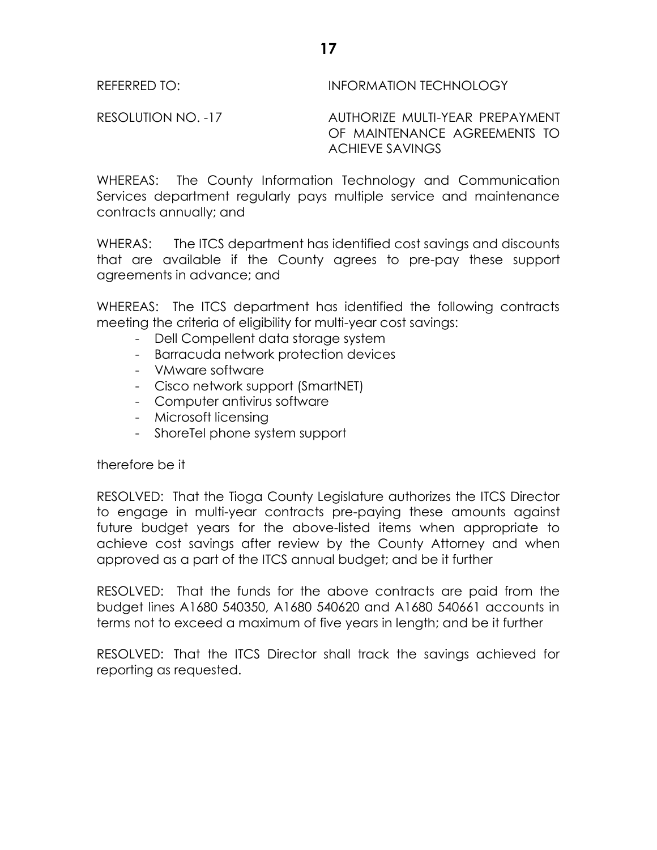## REFERRED TO: INFORMATION TECHNOLOGY

RESOLUTION NO. -17 AUTHORIZE MULTI-YEAR PREPAYMENT OF MAINTENANCE AGREEMENTS TO ACHIEVE SAVINGS

WHEREAS: The County Information Technology and Communication Services department regularly pays multiple service and maintenance contracts annually; and

WHERAS: The ITCS department has identified cost savings and discounts that are available if the County agrees to pre-pay these support agreements in advance; and

WHEREAS: The ITCS department has identified the following contracts meeting the criteria of eligibility for multi-year cost savings:

- Dell Compellent data storage system
- Barracuda network protection devices
- VMware software
- Cisco network support (SmartNET)
- Computer antivirus software
- Microsoft licensing
- ShoreTel phone system support

therefore be it

RESOLVED: That the Tioga County Legislature authorizes the ITCS Director to engage in multi-year contracts pre-paying these amounts against future budget years for the above-listed items when appropriate to achieve cost savings after review by the County Attorney and when approved as a part of the ITCS annual budget; and be it further

RESOLVED: That the funds for the above contracts are paid from the budget lines A1680 540350, A1680 540620 and A1680 540661 accounts in terms not to exceed a maximum of five years in length; and be it further

RESOLVED: That the ITCS Director shall track the savings achieved for reporting as requested.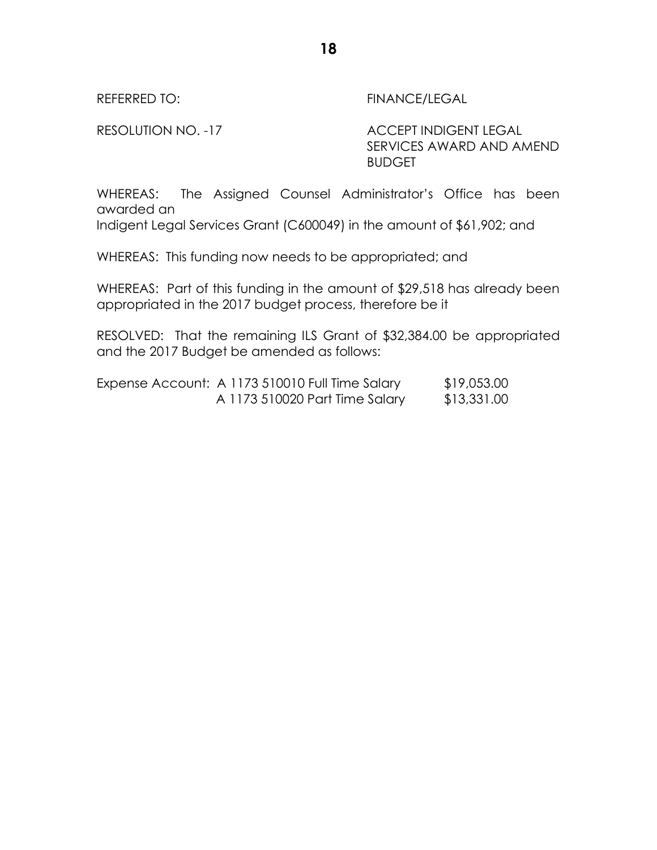REFERRED TO: THE REFERRED TO:

RESOLUTION NO. -17 ACCEPT INDIGENT LEGAL SERVICES AWARD AND AMEND BUDGET

WHEREAS: The Assigned Counsel Administrator's Office has been awarded an

Indigent Legal Services Grant (C600049) in the amount of \$61,902; and

WHEREAS: This funding now needs to be appropriated; and

WHEREAS: Part of this funding in the amount of \$29,518 has already been appropriated in the 2017 budget process, therefore be it

RESOLVED: That the remaining ILS Grant of \$32,384.00 be appropriated and the 2017 Budget be amended as follows:

| Expense Account: A 1173 510010 Full Time Salary | \$19,053.00 |
|-------------------------------------------------|-------------|
| A 1173 510020 Part Time Salary                  | \$13,331.00 |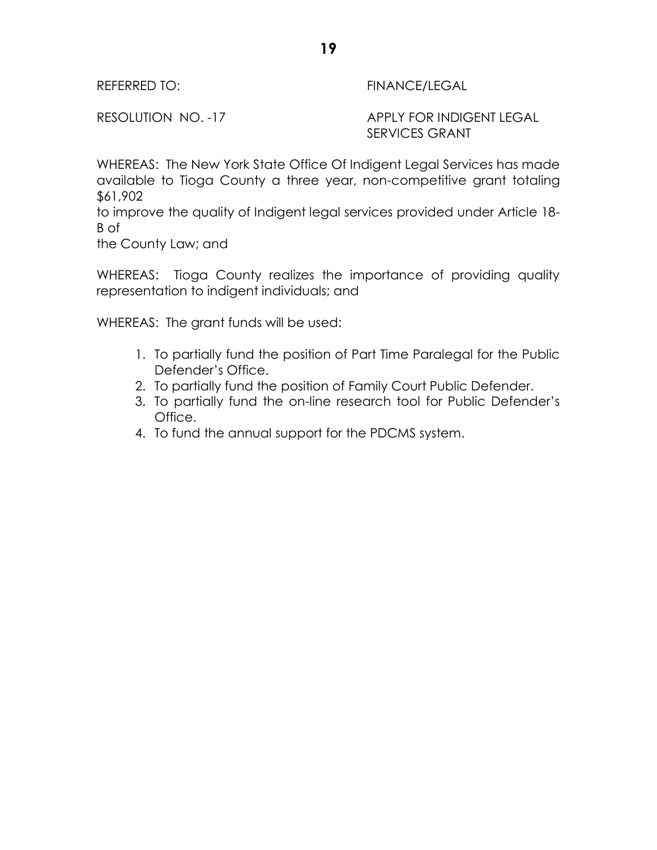REFERRED TO: The Second Second Second Second Second Second Second Second Second Second Second Second Second Se

RESOLUTION NO. -17 APPLY FOR INDIGENT LEGAL SERVICES GRANT

WHEREAS: The New York State Office Of Indigent Legal Services has made available to Tioga County a three year, non-competitive grant totaling \$61,902

to improve the quality of Indigent legal services provided under Article 18- B of

the County Law; and

WHEREAS: Tioga County realizes the importance of providing quality representation to indigent individuals; and

WHEREAS: The grant funds will be used:

- 1. To partially fund the position of Part Time Paralegal for the Public Defender's Office.
- 2. To partially fund the position of Family Court Public Defender.
- 3. To partially fund the on-line research tool for Public Defender's Office.
- 4. To fund the annual support for the PDCMS system.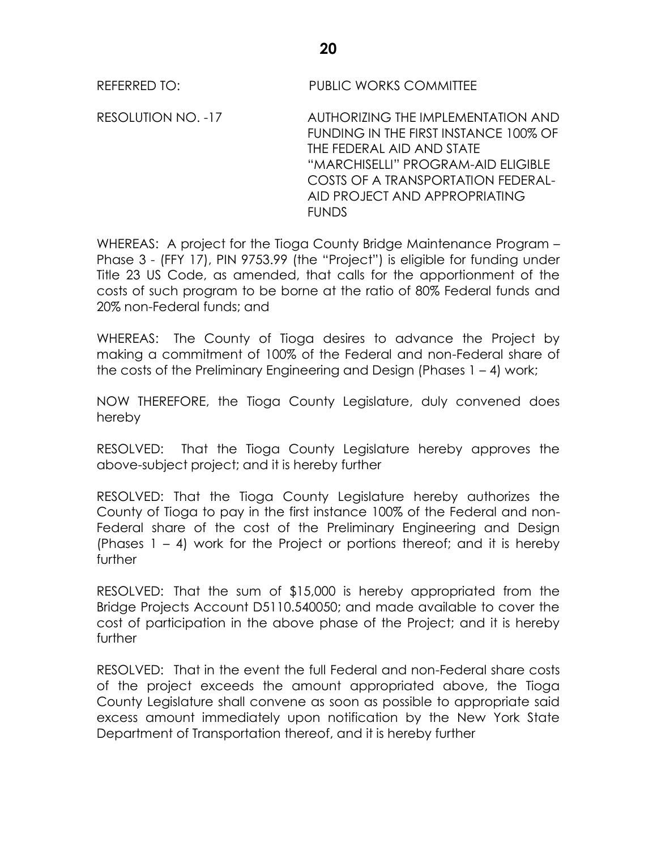REFERRED TO: PUBLIC WORKS COMMITTEE

RESOLUTION NO. -17 AUTHORIZING THE IMPLEMENTATION AND FUNDING IN THE FIRST INSTANCE 100% OF THE FEDERAL AID AND STATE "MARCHISELLI" PROGRAM-AID ELIGIBLE COSTS OF A TRANSPORTATION FEDERAL-AID PROJECT AND APPROPRIATING **FUNDS** 

WHEREAS: A project for the Tioga County Bridge Maintenance Program – Phase 3 - (FFY 17), PIN 9753.99 (the "Project") is eligible for funding under Title 23 US Code, as amended, that calls for the apportionment of the costs of such program to be borne at the ratio of 80% Federal funds and 20% non-Federal funds; and

WHEREAS: The County of Tioga desires to advance the Project by making a commitment of 100% of the Federal and non-Federal share of the costs of the Preliminary Engineering and Design (Phases 1 – 4) work;

NOW THEREFORE, the Tioga County Legislature, duly convened does hereby

RESOLVED: That the Tioga County Legislature hereby approves the above-subject project; and it is hereby further

RESOLVED: That the Tioga County Legislature hereby authorizes the County of Tioga to pay in the first instance 100% of the Federal and non-Federal share of the cost of the Preliminary Engineering and Design (Phases 1 – 4) work for the Project or portions thereof; and it is hereby further

RESOLVED: That the sum of \$15,000 is hereby appropriated from the Bridge Projects Account D5110.540050; and made available to cover the cost of participation in the above phase of the Project; and it is hereby further

RESOLVED: That in the event the full Federal and non-Federal share costs of the project exceeds the amount appropriated above, the Tioga County Legislature shall convene as soon as possible to appropriate said excess amount immediately upon notification by the New York State Department of Transportation thereof, and it is hereby further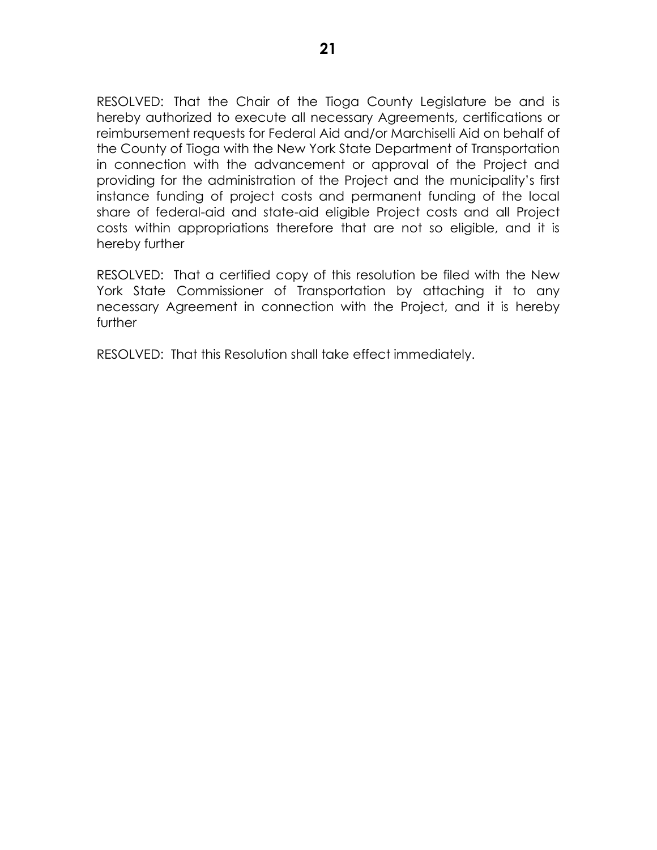RESOLVED: That the Chair of the Tioga County Legislature be and is hereby authorized to execute all necessary Agreements, certifications or reimbursement requests for Federal Aid and/or Marchiselli Aid on behalf of the County of Tioga with the New York State Department of Transportation in connection with the advancement or approval of the Project and providing for the administration of the Project and the municipality's first instance funding of project costs and permanent funding of the local share of federal-aid and state-aid eligible Project costs and all Project costs within appropriations therefore that are not so eligible, and it is hereby further

RESOLVED: That a certified copy of this resolution be filed with the New York State Commissioner of Transportation by attaching it to any necessary Agreement in connection with the Project, and it is hereby further

RESOLVED: That this Resolution shall take effect immediately.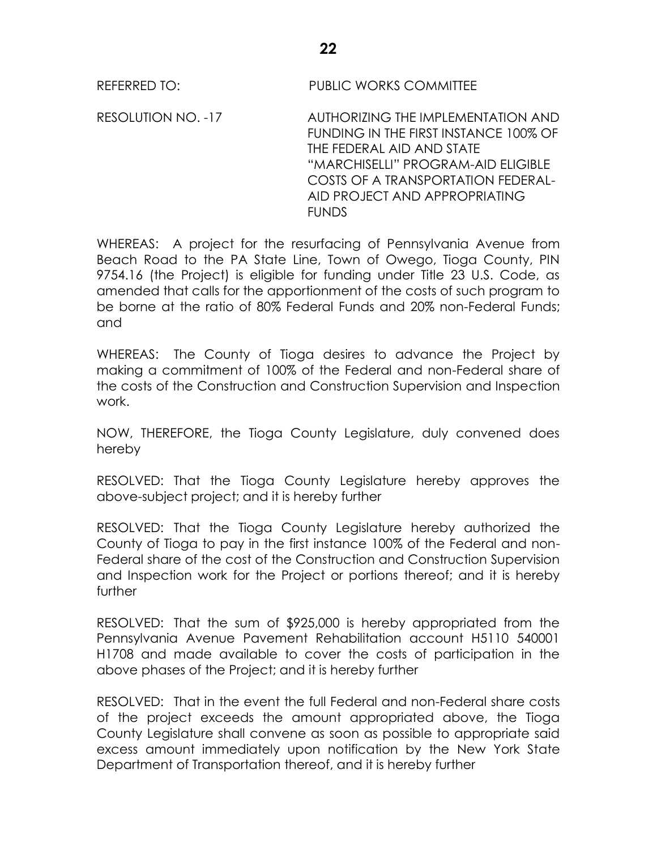RESOLUTION NO. -17 AUTHORIZING THE IMPLEMENTATION AND FUNDING IN THE FIRST INSTANCE 100% OF THE FEDERAL AID AND STATE "MARCHISELLI" PROGRAM-AID ELIGIBLE COSTS OF A TRANSPORTATION FEDERAL-AID PROJECT AND APPROPRIATING **FUNDS** 

WHEREAS: A project for the resurfacing of Pennsylvania Avenue from Beach Road to the PA State Line, Town of Owego, Tioga County, PIN 9754.16 (the Project) is eligible for funding under Title 23 U.S. Code, as amended that calls for the apportionment of the costs of such program to be borne at the ratio of 80% Federal Funds and 20% non-Federal Funds; and

WHEREAS: The County of Tioga desires to advance the Project by making a commitment of 100% of the Federal and non-Federal share of the costs of the Construction and Construction Supervision and Inspection work.

NOW, THEREFORE, the Tioga County Legislature, duly convened does hereby

RESOLVED: That the Tioga County Legislature hereby approves the above-subject project; and it is hereby further

RESOLVED: That the Tioga County Legislature hereby authorized the County of Tioga to pay in the first instance 100% of the Federal and non-Federal share of the cost of the Construction and Construction Supervision and Inspection work for the Project or portions thereof; and it is hereby further

RESOLVED: That the sum of \$925,000 is hereby appropriated from the Pennsylvania Avenue Pavement Rehabilitation account H5110 540001 H1708 and made available to cover the costs of participation in the above phases of the Project; and it is hereby further

RESOLVED: That in the event the full Federal and non-Federal share costs of the project exceeds the amount appropriated above, the Tioga County Legislature shall convene as soon as possible to appropriate said excess amount immediately upon notification by the New York State Department of Transportation thereof, and it is hereby further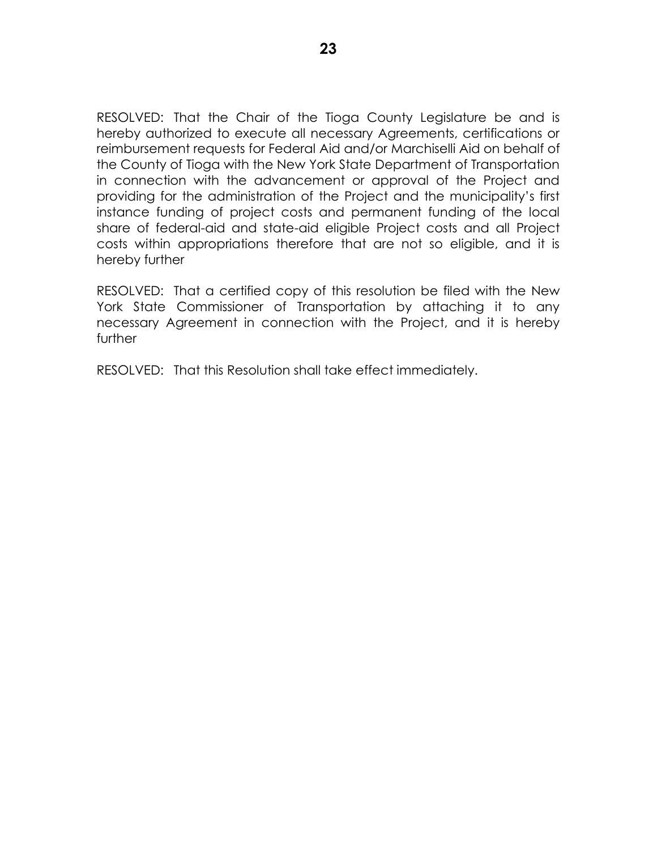RESOLVED: That the Chair of the Tioga County Legislature be and is hereby authorized to execute all necessary Agreements, certifications or reimbursement requests for Federal Aid and/or Marchiselli Aid on behalf of the County of Tioga with the New York State Department of Transportation in connection with the advancement or approval of the Project and providing for the administration of the Project and the municipality's first instance funding of project costs and permanent funding of the local share of federal-aid and state-aid eligible Project costs and all Project costs within appropriations therefore that are not so eligible, and it is hereby further

RESOLVED: That a certified copy of this resolution be filed with the New York State Commissioner of Transportation by attaching it to any necessary Agreement in connection with the Project, and it is hereby further

RESOLVED: That this Resolution shall take effect immediately.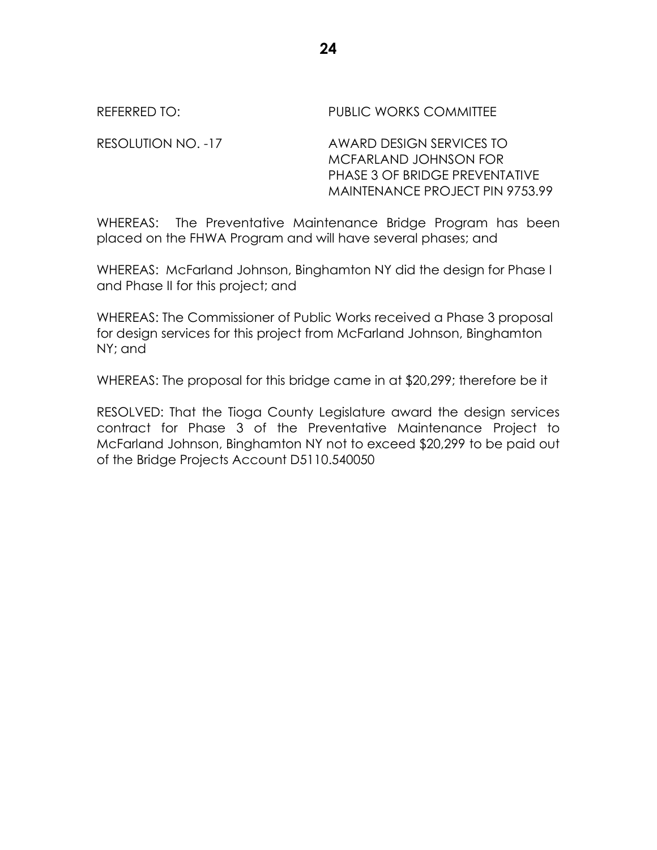REFERRED TO: THE PUBLIC WORKS COMMITTEE

RESOLUTION NO. -17 AWARD DESIGN SERVICES TO MCFARLAND JOHNSON FOR PHASE 3 OF BRIDGE PREVENTATIVE MAINTENANCE PROJECT PIN 9753.99

WHEREAS: The Preventative Maintenance Bridge Program has been placed on the FHWA Program and will have several phases; and

WHEREAS: McFarland Johnson, Binghamton NY did the design for Phase I and Phase II for this project; and

WHEREAS: The Commissioner of Public Works received a Phase 3 proposal for design services for this project from McFarland Johnson, Binghamton NY; and

WHEREAS: The proposal for this bridge came in at \$20,299; therefore be it

RESOLVED: That the Tioga County Legislature award the design services contract for Phase 3 of the Preventative Maintenance Project to McFarland Johnson, Binghamton NY not to exceed \$20,299 to be paid out of the Bridge Projects Account D5110.540050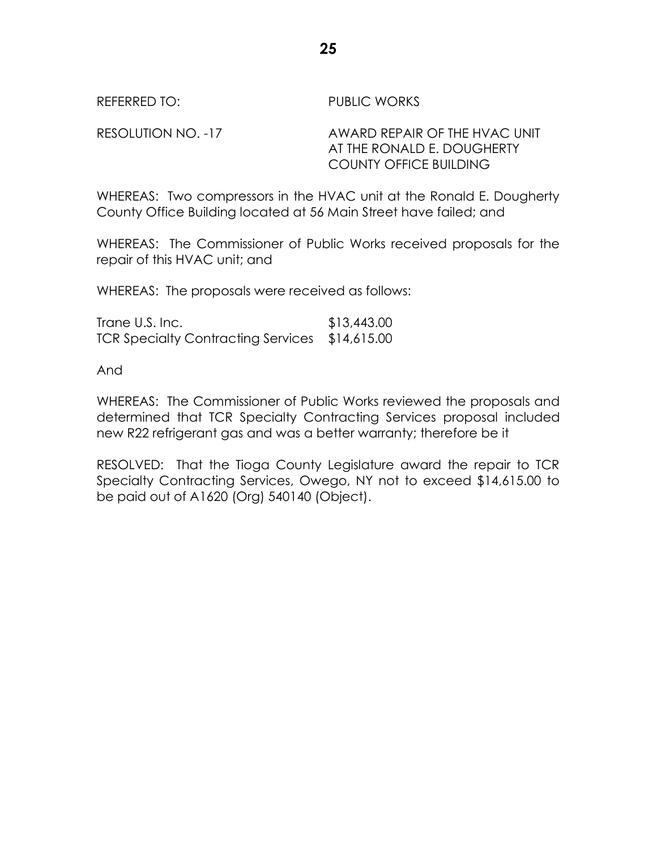REFERRED TO: PUBLIC WORKS

RESOLUTION NO. -17 AWARD REPAIR OF THE HVAC UNIT AT THE RONALD E. DOUGHERTY COUNTY OFFICE BUILDING

WHEREAS: Two compressors in the HVAC unit at the Ronald E. Dougherty County Office Building located at 56 Main Street have failed; and

WHEREAS: The Commissioner of Public Works received proposals for the repair of this HVAC unit; and

WHEREAS: The proposals were received as follows:

Trane U.S. Inc. \$13,443.00 TCR Specialty Contracting Services \$14,615.00

And

WHEREAS: The Commissioner of Public Works reviewed the proposals and determined that TCR Specialty Contracting Services proposal included new R22 refrigerant gas and was a better warranty; therefore be it

RESOLVED: That the Tioga County Legislature award the repair to TCR Specialty Contracting Services, Owego, NY not to exceed \$14,615.00 to be paid out of A1620 (Org) 540140 (Object).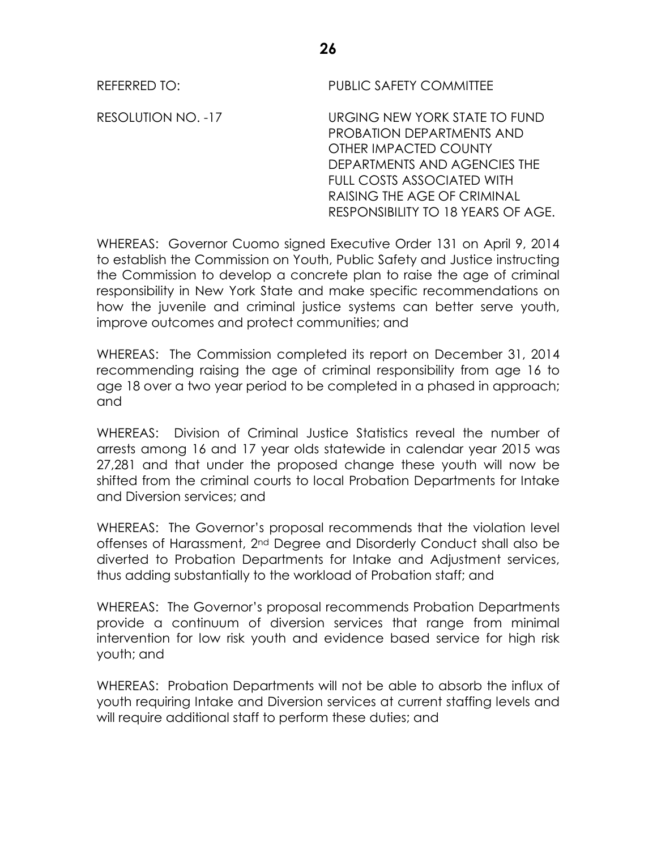REFERRED TO: PUBLIC SAFETY COMMITTEE

RESOLUTION NO. -17 URGING NEW YORK STATE TO FUND PROBATION DEPARTMENTS AND OTHER IMPACTED COUNTY DEPARTMENTS AND AGENCIES THE FULL COSTS ASSOCIATED WITH RAISING THE AGE OF CRIMINAL RESPONSIBILITY TO 18 YEARS OF AGE.

WHEREAS: Governor Cuomo signed Executive Order 131 on April 9, 2014 to establish the Commission on Youth, Public Safety and Justice instructing the Commission to develop a concrete plan to raise the age of criminal responsibility in New York State and make specific recommendations on how the juvenile and criminal justice systems can better serve youth, improve outcomes and protect communities; and

WHEREAS: The Commission completed its report on December 31, 2014 recommending raising the age of criminal responsibility from age 16 to age 18 over a two year period to be completed in a phased in approach; and

WHEREAS: Division of Criminal Justice Statistics reveal the number of arrests among 16 and 17 year olds statewide in calendar year 2015 was 27,281 and that under the proposed change these youth will now be shifted from the criminal courts to local Probation Departments for Intake and Diversion services; and

WHEREAS: The Governor's proposal recommends that the violation level offenses of Harassment, 2nd Degree and Disorderly Conduct shall also be diverted to Probation Departments for Intake and Adjustment services, thus adding substantially to the workload of Probation staff; and

WHEREAS: The Governor's proposal recommends Probation Departments provide a continuum of diversion services that range from minimal intervention for low risk youth and evidence based service for high risk youth; and

WHEREAS: Probation Departments will not be able to absorb the influx of youth requiring Intake and Diversion services at current staffing levels and will require additional staff to perform these duties; and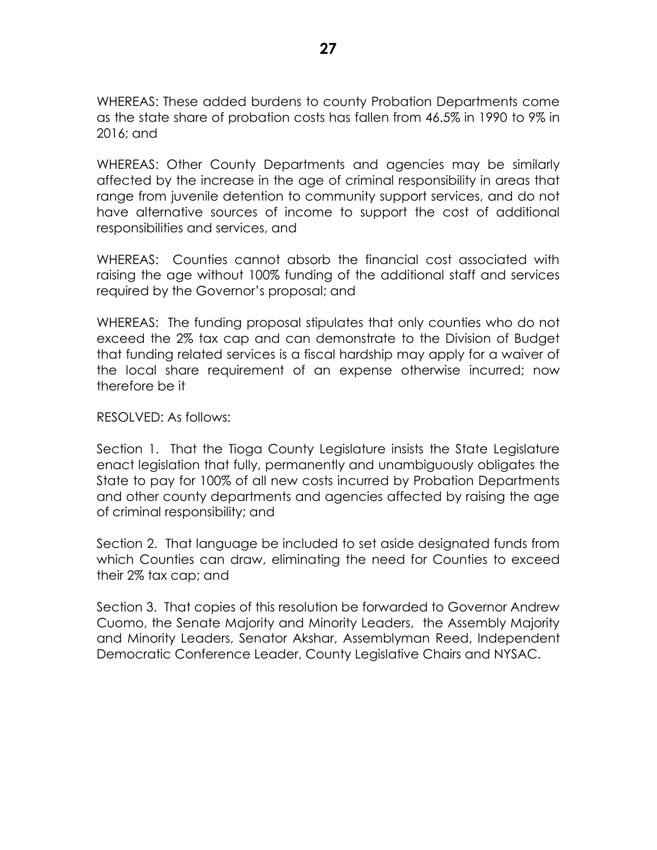WHEREAS: These added burdens to county Probation Departments come as the state share of probation costs has fallen from 46.5% in 1990 to 9% in 2016; and

WHEREAS: Other County Departments and agencies may be similarly affected by the increase in the age of criminal responsibility in areas that range from juvenile detention to community support services, and do not have alternative sources of income to support the cost of additional responsibilities and services, and

WHEREAS: Counties cannot absorb the financial cost associated with raising the age without 100% funding of the additional staff and services required by the Governor's proposal; and

WHEREAS: The funding proposal stipulates that only counties who do not exceed the 2% tax cap and can demonstrate to the Division of Budget that funding related services is a fiscal hardship may apply for a waiver of the local share requirement of an expense otherwise incurred; now therefore be it

## RESOLVED: As follows:

Section 1. That the Tioga County Legislature insists the State Legislature enact legislation that fully, permanently and unambiguously obligates the State to pay for 100% of all new costs incurred by Probation Departments and other county departments and agencies affected by raising the age of criminal responsibility; and

Section 2. That language be included to set aside designated funds from which Counties can draw, eliminating the need for Counties to exceed their 2% tax cap; and

Section 3. That copies of this resolution be forwarded to Governor Andrew Cuomo, the Senate Majority and Minority Leaders, the Assembly Majority and Minority Leaders, Senator Akshar, Assemblyman Reed, Independent Democratic Conference Leader, County Legislative Chairs and NYSAC.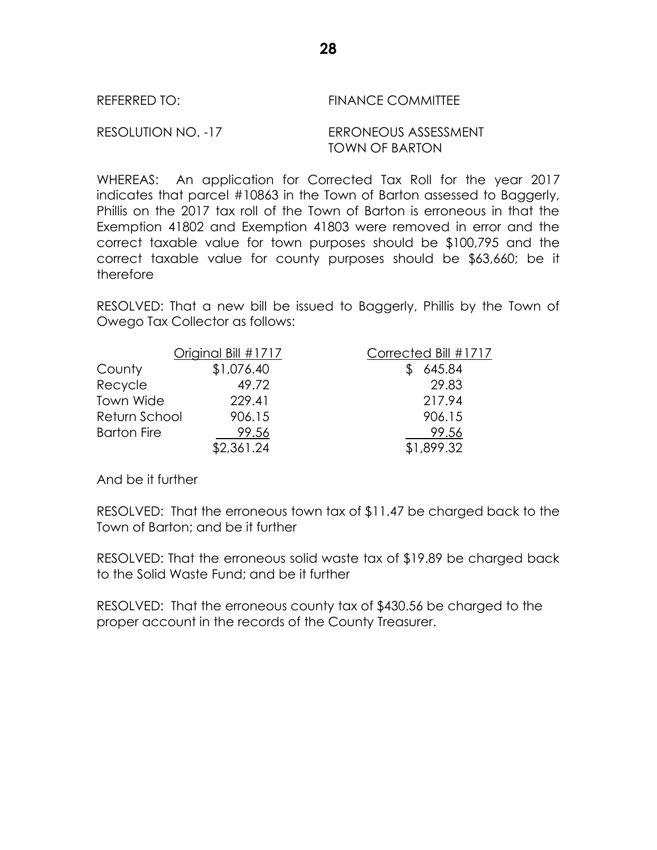| REFERRED TO: |  |
|--------------|--|
|--------------|--|

## FINANCE COMMITTEE

## RESOLUTION NO. -17 ERRONEOUS ASSESSMENT TOWN OF BARTON

WHEREAS: An application for Corrected Tax Roll for the year 2017 indicates that parcel #10863 in the Town of Barton assessed to Baggerly, Phillis on the 2017 tax roll of the Town of Barton is erroneous in that the Exemption 41802 and Exemption 41803 were removed in error and the correct taxable value for town purposes should be \$100,795 and the correct taxable value for county purposes should be \$63,660; be it therefore

RESOLVED: That a new bill be issued to Baggerly, Phillis by the Town of Owego Tax Collector as follows:

|                    | Original Bill #1717 | Corrected Bill #1717 |
|--------------------|---------------------|----------------------|
| County             | \$1,076.40          | 645.84               |
| Recycle            | 49.72               | 29.83                |
| Town Wide          | 229.41              | 217.94               |
| Return School      | 906.15              | 906.15               |
| <b>Barton Fire</b> | 99.56               | 99.56                |
|                    | \$2,361.24          | \$1,899.32           |

And be it further

RESOLVED: That the erroneous town tax of \$11.47 be charged back to the Town of Barton; and be it further

RESOLVED: That the erroneous solid waste tax of \$19.89 be charged back to the Solid Waste Fund; and be it further

RESOLVED: That the erroneous county tax of \$430.56 be charged to the proper account in the records of the County Treasurer.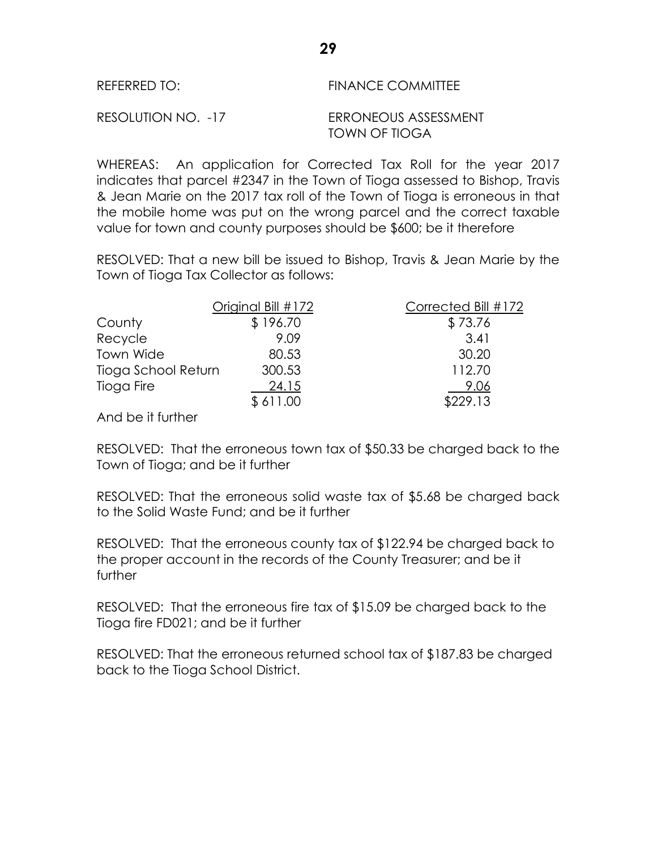| REFERRED TO:       | <b>FINANCE COMMITTEE</b>              |
|--------------------|---------------------------------------|
| RESOLUTION NO. -17 | ERRONEOUS ASSESSMENT<br>TOWN OF TIOGA |

WHEREAS: An application for Corrected Tax Roll for the year 2017 indicates that parcel #2347 in the Town of Tioga assessed to Bishop, Travis & Jean Marie on the 2017 tax roll of the Town of Tioga is erroneous in that the mobile home was put on the wrong parcel and the correct taxable value for town and county purposes should be \$600; be it therefore

RESOLVED: That a new bill be issued to Bishop, Travis & Jean Marie by the Town of Tioga Tax Collector as follows:

|                     | Original Bill #172 | Corrected Bill #172 |
|---------------------|--------------------|---------------------|
| County              | \$196.70           | \$73.76             |
| Recycle             | 9.09               | 3.41                |
| Town Wide           | 80.53              | 30.20               |
| Tioga School Return | 300.53             | 112.70              |
| Tioga Fire          | 24.15              | 9.06                |
|                     | \$611.00           | \$229.13            |
|                     |                    |                     |

And be it further

RESOLVED: That the erroneous town tax of \$50.33 be charged back to the Town of Tioga; and be it further

RESOLVED: That the erroneous solid waste tax of \$5.68 be charged back to the Solid Waste Fund; and be it further

RESOLVED: That the erroneous county tax of \$122.94 be charged back to the proper account in the records of the County Treasurer; and be it further

RESOLVED: That the erroneous fire tax of \$15.09 be charged back to the Tioga fire FD021; and be it further

RESOLVED: That the erroneous returned school tax of \$187.83 be charged back to the Tioga School District.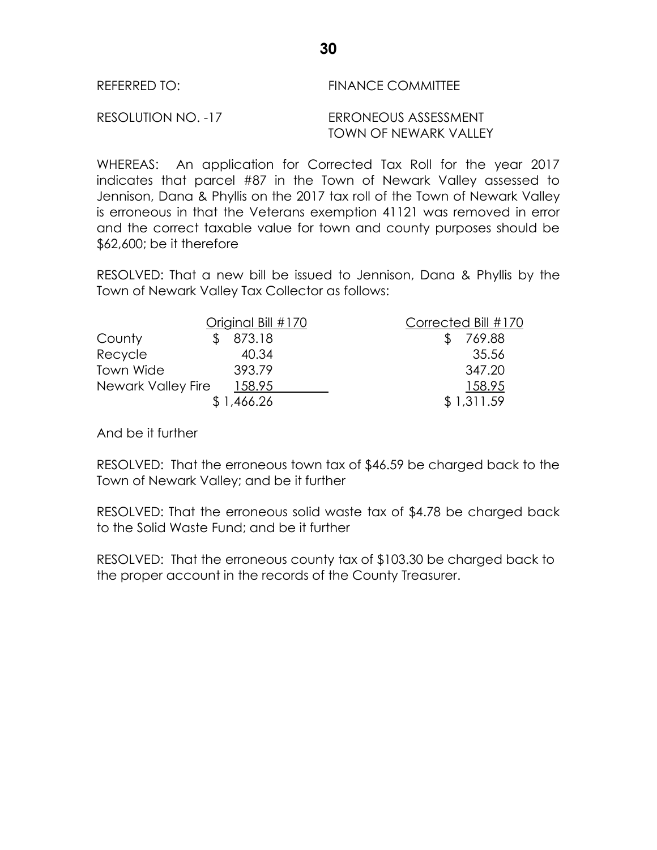| REFERRED TO:       | <b>FINANCE COMMITTEE</b> |  |  |  |
|--------------------|--------------------------|--|--|--|
| RESOLUTION NO. -17 | ERRONEOUS ASSESSMENT     |  |  |  |

TOWN OF NEWARK VALLEY

WHEREAS: An application for Corrected Tax Roll for the year 2017 indicates that parcel #87 in the Town of Newark Valley assessed to Jennison, Dana & Phyllis on the 2017 tax roll of the Town of Newark Valley is erroneous in that the Veterans exemption 41121 was removed in error and the correct taxable value for town and county purposes should be \$62,600; be it therefore

RESOLVED: That a new bill be issued to Jennison, Dana & Phyllis by the Town of Newark Valley Tax Collector as follows:

| Original Bill #170        |            | Corrected Bill #170 |  |
|---------------------------|------------|---------------------|--|
| County                    | 873.18     | 769.88              |  |
| Recycle                   | 40.34      | 35.56               |  |
| <b>Town Wide</b>          | 393.79     | 347.20              |  |
| <b>Newark Valley Fire</b> | 158.95     | 158.95              |  |
|                           | \$1,466.26 | \$1,311.59          |  |

And be it further

RESOLVED: That the erroneous town tax of \$46.59 be charged back to the Town of Newark Valley; and be it further

RESOLVED: That the erroneous solid waste tax of \$4.78 be charged back to the Solid Waste Fund; and be it further

RESOLVED: That the erroneous county tax of \$103.30 be charged back to the proper account in the records of the County Treasurer.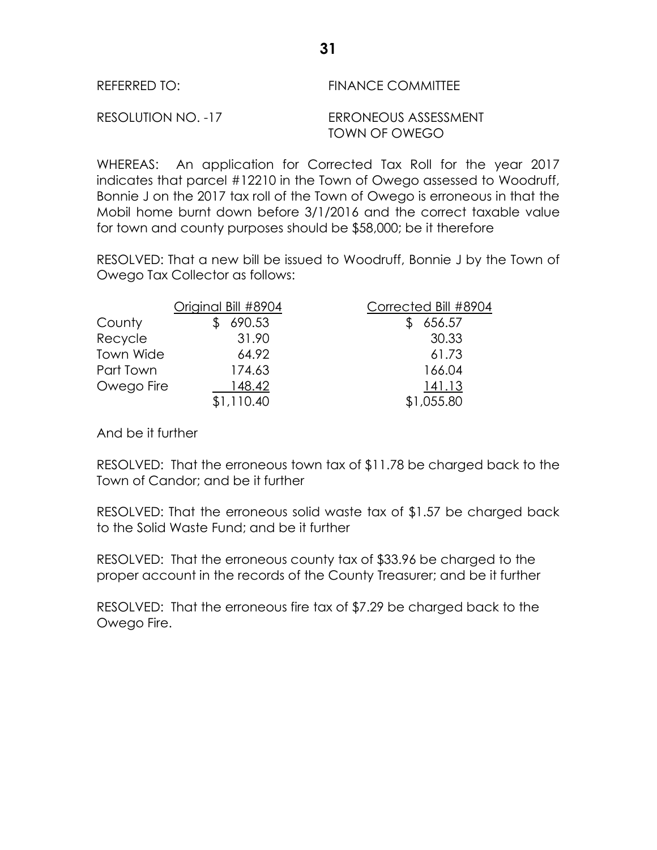| REFERRED TO:       | <b>FINANCE COMMITTEE</b>              |  |  |
|--------------------|---------------------------------------|--|--|
| RESOLUTION NO. -17 | ERRONEOUS ASSESSMENT<br>TOWN OF OWEGO |  |  |

WHEREAS: An application for Corrected Tax Roll for the year 2017 indicates that parcel #12210 in the Town of Owego assessed to Woodruff, Bonnie J on the 2017 tax roll of the Town of Owego is erroneous in that the Mobil home burnt down before 3/1/2016 and the correct taxable value for town and county purposes should be \$58,000; be it therefore

RESOLVED: That a new bill be issued to Woodruff, Bonnie J by the Town of Owego Tax Collector as follows:

|            | Original Bill #8904 | Corrected Bill #8904 |
|------------|---------------------|----------------------|
| County     | 690.53              | 656.57               |
| Recycle    | 31.90               | 30.33                |
| Town Wide  | 64.92               | 61.73                |
| Part Town  | 174.63              | 166.04               |
| Owego Fire | 148.42              | 141.13               |
|            | \$1,110.40          | \$1,055.80           |

And be it further

RESOLVED: That the erroneous town tax of \$11.78 be charged back to the Town of Candor; and be it further

RESOLVED: That the erroneous solid waste tax of \$1.57 be charged back to the Solid Waste Fund; and be it further

RESOLVED: That the erroneous county tax of \$33.96 be charged to the proper account in the records of the County Treasurer; and be it further

RESOLVED: That the erroneous fire tax of \$7.29 be charged back to the Owego Fire.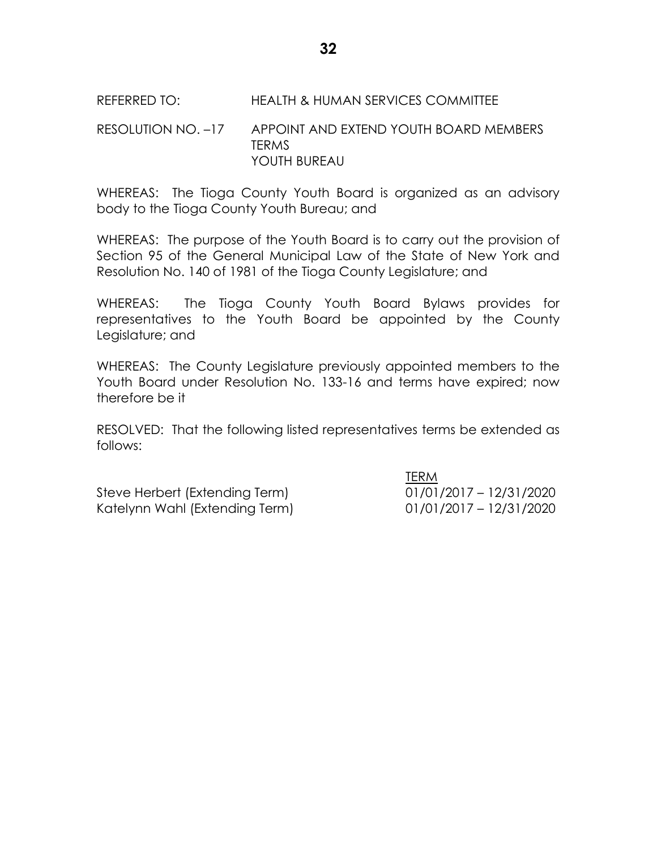## REFERRED TO: HEALTH & HUMAN SERVICES COMMITTEE

## RESOLUTION NO. –17 APPOINT AND EXTEND YOUTH BOARD MEMBERS TERMS YOUTH BUREAU

WHEREAS: The Tioga County Youth Board is organized as an advisory body to the Tioga County Youth Bureau; and

WHEREAS: The purpose of the Youth Board is to carry out the provision of Section 95 of the General Municipal Law of the State of New York and Resolution No. 140 of 1981 of the Tioga County Legislature; and

WHEREAS: The Tioga County Youth Board Bylaws provides for representatives to the Youth Board be appointed by the County Legislature; and

WHEREAS: The County Legislature previously appointed members to the Youth Board under Resolution No. 133-16 and terms have expired; now therefore be it

RESOLVED: That the following listed representatives terms be extended as follows:

Steve Herbert (Extending Term) 01/01/2017 – 12/31/2020 Katelynn Wahl (Extending Term) 01/01/2017 – 12/31/2020

TERM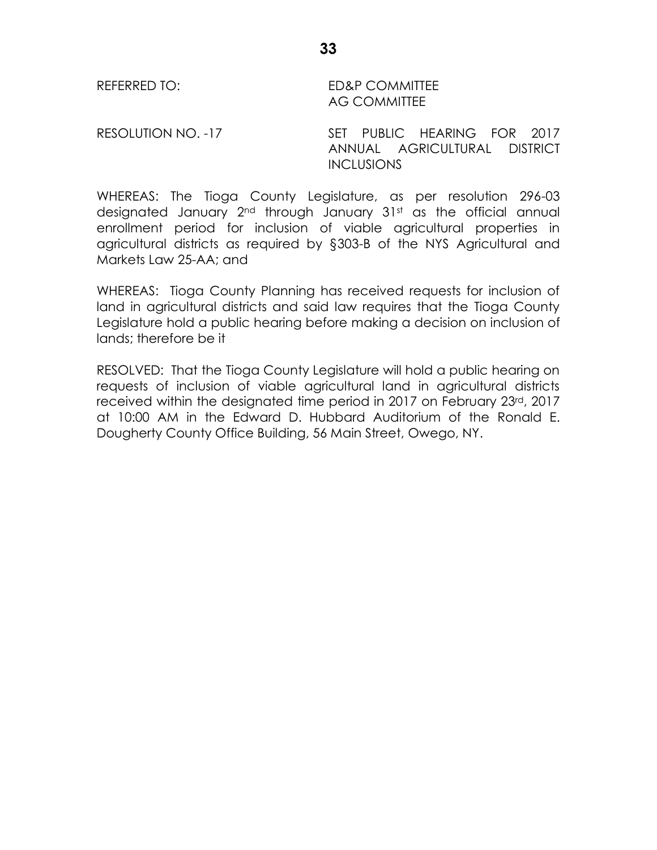REFERRED TO: ED&P COMMITTEE AG COMMITTEE

RESOLUTION NO. -17 SET PUBLIC HEARING FOR 2017 ANNUAL AGRICULTURAL DISTRICT **INCLUSIONS** 

WHEREAS: The Tioga County Legislature, as per resolution 296-03 designated January 2<sup>nd</sup> through January 31st as the official annual enrollment period for inclusion of viable agricultural properties in agricultural districts as required by §303-B of the NYS Agricultural and Markets Law 25-AA; and

WHEREAS: Tioga County Planning has received requests for inclusion of land in agricultural districts and said law requires that the Tioga County Legislature hold a public hearing before making a decision on inclusion of lands; therefore be it

RESOLVED: That the Tioga County Legislature will hold a public hearing on requests of inclusion of viable agricultural land in agricultural districts received within the designated time period in 2017 on February 23rd, 2017 at 10:00 AM in the Edward D. Hubbard Auditorium of the Ronald E. Dougherty County Office Building, 56 Main Street, Owego, NY.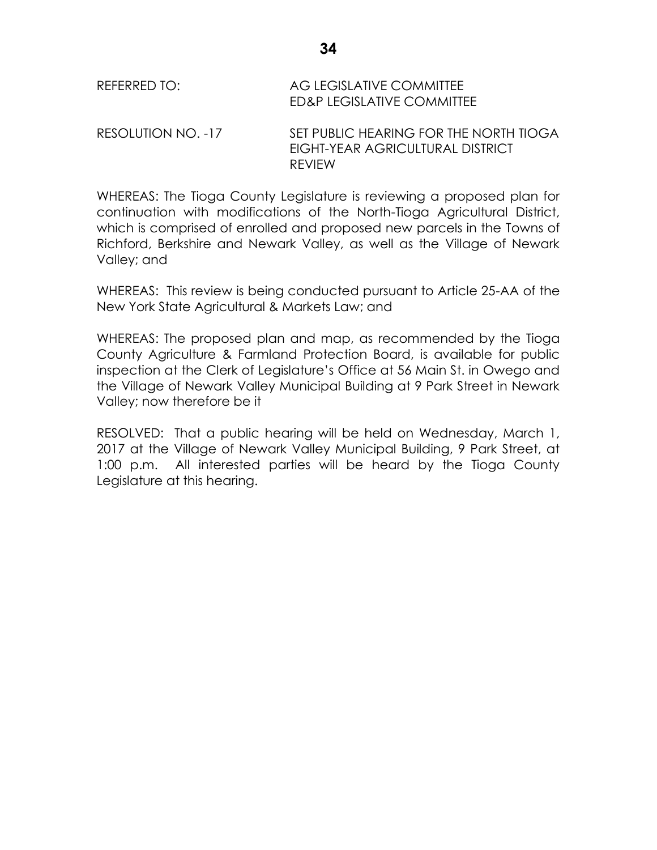| REFERRED TO:       | AG LEGISLATIVE COMMITTEE<br>ED&P LEGISLATIVE COMMITTEE                                      |
|--------------------|---------------------------------------------------------------------------------------------|
| RESOLUTION NO. -17 | SET PUBLIC HEARING FOR THE NORTH TIOGA<br>EIGHT-YEAR AGRICULTURAL DISTRICT<br><b>REVIEW</b> |

WHEREAS: The Tioga County Legislature is reviewing a proposed plan for continuation with modifications of the North-Tioga Agricultural District, which is comprised of enrolled and proposed new parcels in the Towns of Richford, Berkshire and Newark Valley, as well as the Village of Newark Valley; and

WHEREAS: This review is being conducted pursuant to Article 25-AA of the New York State Agricultural & Markets Law; and

WHEREAS: The proposed plan and map, as recommended by the Tioga County Agriculture & Farmland Protection Board, is available for public inspection at the Clerk of Legislature's Office at 56 Main St. in Owego and the Village of Newark Valley Municipal Building at 9 Park Street in Newark Valley; now therefore be it

RESOLVED: That a public hearing will be held on Wednesday, March 1, 2017 at the Village of Newark Valley Municipal Building, 9 Park Street, at 1:00 p.m. All interested parties will be heard by the Tioga County Legislature at this hearing.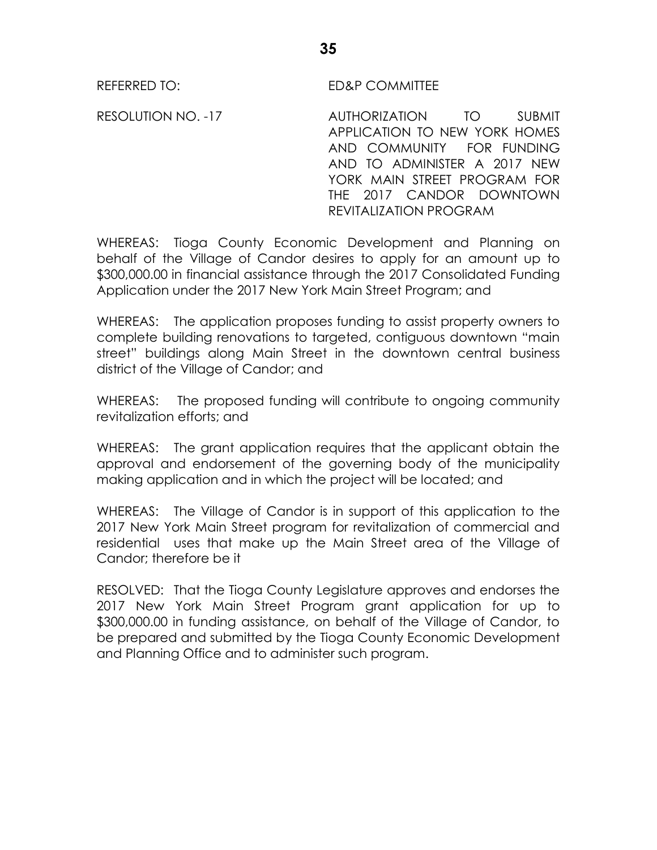REFERRED TO: ED&P COMMITTEE

RESOLUTION NO. -17 AUTHORIZATION TO SUBMIT APPLICATION TO NEW YORK HOMES AND COMMUNITY FOR FUNDING AND TO ADMINISTER A 2017 NEW YORK MAIN STREET PROGRAM FOR THE 2017 CANDOR DOWNTOWN REVITALIZATION PROGRAM

WHEREAS: Tioga County Economic Development and Planning on behalf of the Village of Candor desires to apply for an amount up to \$300,000.00 in financial assistance through the 2017 Consolidated Funding Application under the 2017 New York Main Street Program; and

WHEREAS: The application proposes funding to assist property owners to complete building renovations to targeted, contiguous downtown "main street" buildings along Main Street in the downtown central business district of the Village of Candor; and

WHEREAS: The proposed funding will contribute to ongoing community revitalization efforts; and

WHEREAS: The grant application requires that the applicant obtain the approval and endorsement of the governing body of the municipality making application and in which the project will be located; and

WHEREAS: The Village of Candor is in support of this application to the 2017 New York Main Street program for revitalization of commercial and residential uses that make up the Main Street area of the Village of Candor; therefore be it

RESOLVED: That the Tioga County Legislature approves and endorses the 2017 New York Main Street Program grant application for up to \$300,000.00 in funding assistance, on behalf of the Village of Candor, to be prepared and submitted by the Tioga County Economic Development and Planning Office and to administer such program.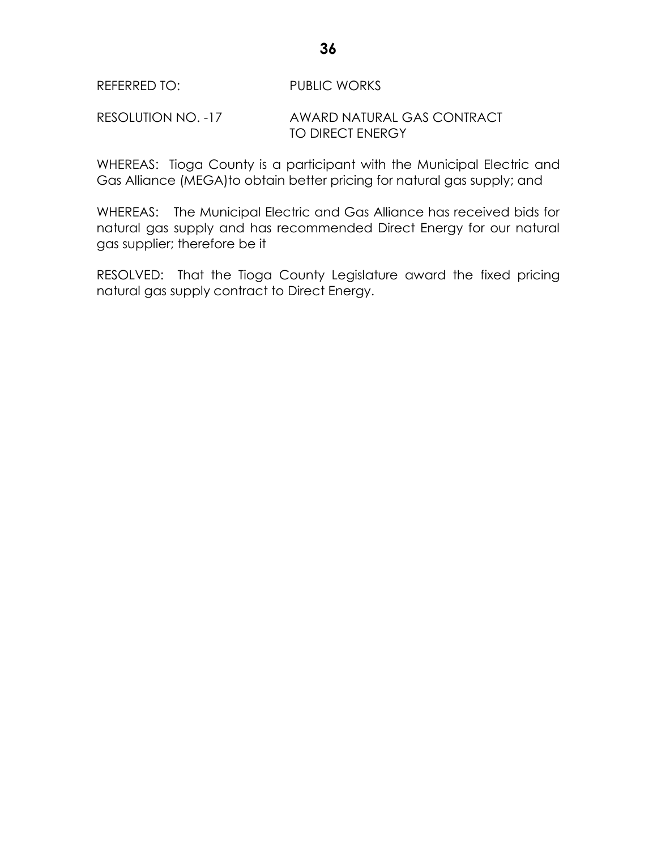## RESOLUTION NO. -17 AWARD NATURAL GAS CONTRACT TO DIRECT ENERGY

WHEREAS: Tioga County is a participant with the Municipal Electric and Gas Alliance (MEGA)to obtain better pricing for natural gas supply; and

WHEREAS: The Municipal Electric and Gas Alliance has received bids for natural gas supply and has recommended Direct Energy for our natural gas supplier; therefore be it

RESOLVED: That the Tioga County Legislature award the fixed pricing natural gas supply contract to Direct Energy.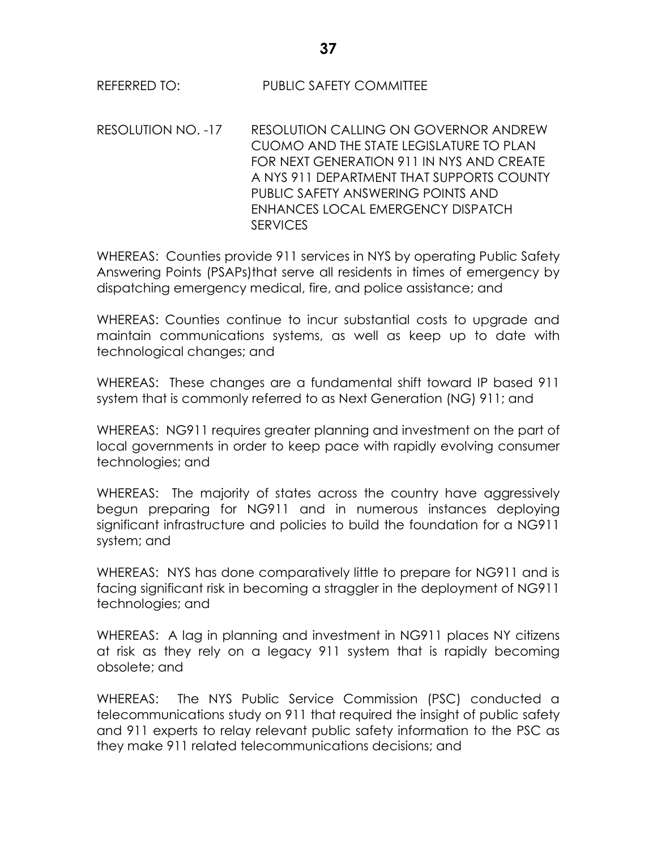RESOLUTION NO. -17 RESOLUTION CALLING ON GOVERNOR ANDREW CUOMO AND THE STATE LEGISLATURE TO PLAN FOR NEXT GENERATION 911 IN NYS AND CREATE A NYS 911 DEPARTMENT THAT SUPPORTS COUNTY PUBLIC SAFETY ANSWERING POINTS AND ENHANCES LOCAL EMERGENCY DISPATCH **SERVICES** 

WHEREAS: Counties provide 911 services in NYS by operating Public Safety Answering Points (PSAPs)that serve all residents in times of emergency by dispatching emergency medical, fire, and police assistance; and

WHEREAS: Counties continue to incur substantial costs to upgrade and maintain communications systems, as well as keep up to date with technological changes; and

WHEREAS: These changes are a fundamental shift toward IP based 911 system that is commonly referred to as Next Generation (NG) 911; and

WHEREAS: NG911 requires greater planning and investment on the part of local governments in order to keep pace with rapidly evolving consumer technologies; and

WHEREAS: The majority of states across the country have aggressively begun preparing for NG911 and in numerous instances deploying significant infrastructure and policies to build the foundation for a NG911 system; and

WHEREAS: NYS has done comparatively little to prepare for NG911 and is facing significant risk in becoming a straggler in the deployment of NG911 technologies; and

WHEREAS: A lag in planning and investment in NG911 places NY citizens at risk as they rely on a legacy 911 system that is rapidly becoming obsolete; and

WHEREAS: The NYS Public Service Commission (PSC) conducted a telecommunications study on 911 that required the insight of public safety and 911 experts to relay relevant public safety information to the PSC as they make 911 related telecommunications decisions; and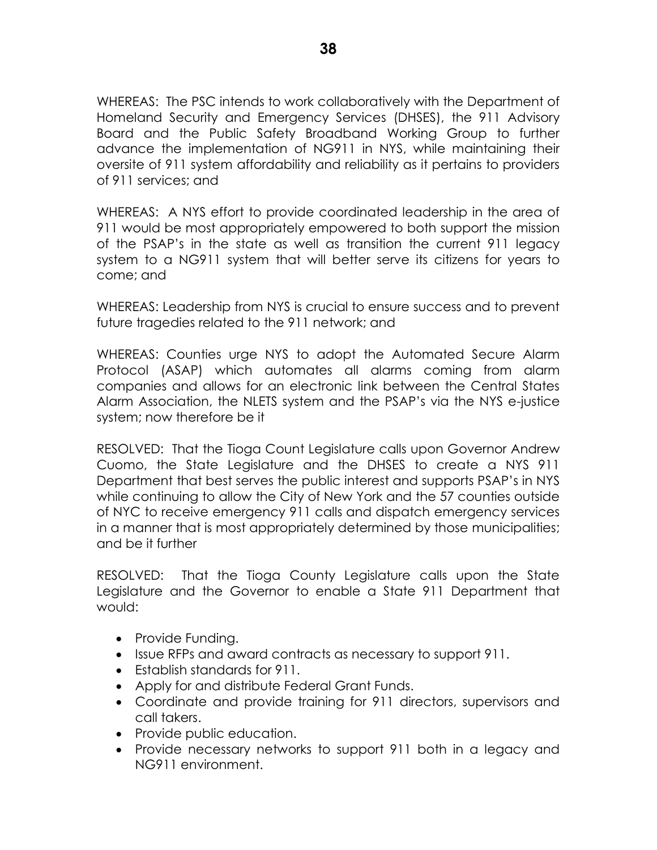WHEREAS: The PSC intends to work collaboratively with the Department of Homeland Security and Emergency Services (DHSES), the 911 Advisory Board and the Public Safety Broadband Working Group to further advance the implementation of NG911 in NYS, while maintaining their oversite of 911 system affordability and reliability as it pertains to providers of 911 services; and

WHEREAS: A NYS effort to provide coordinated leadership in the area of 911 would be most appropriately empowered to both support the mission of the PSAP's in the state as well as transition the current 911 legacy system to a NG911 system that will better serve its citizens for years to come; and

WHEREAS: Leadership from NYS is crucial to ensure success and to prevent future tragedies related to the 911 network; and

WHEREAS: Counties urge NYS to adopt the Automated Secure Alarm Protocol (ASAP) which automates all alarms coming from alarm companies and allows for an electronic link between the Central States Alarm Association, the NLETS system and the PSAP's via the NYS e-justice system; now therefore be it

RESOLVED: That the Tioga Count Legislature calls upon Governor Andrew Cuomo, the State Legislature and the DHSES to create a NYS 911 Department that best serves the public interest and supports PSAP's in NYS while continuing to allow the City of New York and the 57 counties outside of NYC to receive emergency 911 calls and dispatch emergency services in a manner that is most appropriately determined by those municipalities; and be it further

RESOLVED: That the Tioga County Legislature calls upon the State Legislature and the Governor to enable a State 911 Department that would:

- Provide Funding.
- Issue RFPs and award contracts as necessary to support 911.
- Establish standards for 911.
- Apply for and distribute Federal Grant Funds.
- Coordinate and provide training for 911 directors, supervisors and call takers.
- Provide public education.
- Provide necessary networks to support 911 both in a legacy and NG911 environment.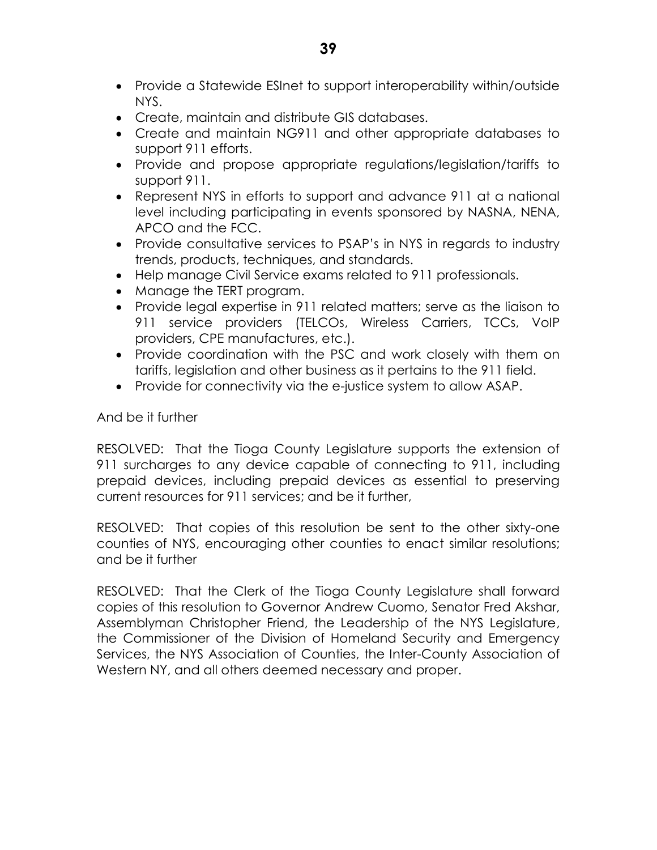- Provide a Statewide ESInet to support interoperability within/outside NYS.
- Create, maintain and distribute GIS databases.
- Create and maintain NG911 and other appropriate databases to support 911 efforts.
- Provide and propose appropriate regulations/legislation/tariffs to support 911.
- Represent NYS in efforts to support and advance 911 at a national level including participating in events sponsored by NASNA, NENA, APCO and the FCC.
- Provide consultative services to PSAP's in NYS in regards to industry trends, products, techniques, and standards.
- Help manage Civil Service exams related to 911 professionals.
- Manage the TERT program.
- Provide legal expertise in 911 related matters; serve as the liaison to 911 service providers (TELCOs, Wireless Carriers, TCCs, VoIP providers, CPE manufactures, etc.).
- Provide coordination with the PSC and work closely with them on tariffs, legislation and other business as it pertains to the 911 field.
- Provide for connectivity via the e-justice system to allow ASAP.

And be it further

RESOLVED: That the Tioga County Legislature supports the extension of 911 surcharges to any device capable of connecting to 911, including prepaid devices, including prepaid devices as essential to preserving current resources for 911 services; and be it further,

RESOLVED: That copies of this resolution be sent to the other sixty-one counties of NYS, encouraging other counties to enact similar resolutions; and be it further

RESOLVED: That the Clerk of the Tioga County Legislature shall forward copies of this resolution to Governor Andrew Cuomo, Senator Fred Akshar, Assemblyman Christopher Friend, the Leadership of the NYS Legislature, the Commissioner of the Division of Homeland Security and Emergency Services, the NYS Association of Counties, the Inter-County Association of Western NY, and all others deemed necessary and proper.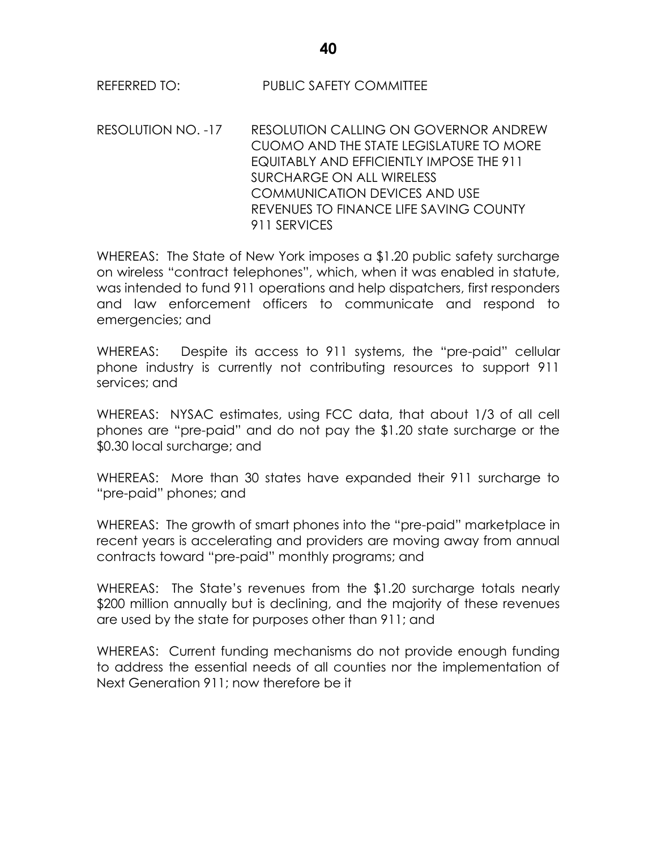RESOLUTION NO. -17 RESOLUTION CALLING ON GOVERNOR ANDREW CUOMO AND THE STATE LEGISLATURE TO MORE EQUITABLY AND EFFICIENTLY IMPOSE THE 911 SURCHARGE ON ALL WIRELESS COMMUNICATION DEVICES AND USE REVENUES TO FINANCE LIFE SAVING COUNTY 911 SERVICES

WHEREAS: The State of New York imposes a \$1.20 public safety surcharge on wireless "contract telephones", which, when it was enabled in statute, was intended to fund 911 operations and help dispatchers, first responders and law enforcement officers to communicate and respond to emergencies; and

WHEREAS: Despite its access to 911 systems, the "pre-paid" cellular phone industry is currently not contributing resources to support 911 services; and

WHEREAS: NYSAC estimates, using FCC data, that about 1/3 of all cell phones are "pre-paid" and do not pay the \$1.20 state surcharge or the \$0.30 local surcharge; and

WHEREAS: More than 30 states have expanded their 911 surcharge to "pre-paid" phones; and

WHEREAS: The growth of smart phones into the "pre-paid" marketplace in recent years is accelerating and providers are moving away from annual contracts toward "pre-paid" monthly programs; and

WHEREAS: The State's revenues from the \$1.20 surcharge totals nearly \$200 million annually but is declining, and the majority of these revenues are used by the state for purposes other than 911; and

WHEREAS: Current funding mechanisms do not provide enough funding to address the essential needs of all counties nor the implementation of Next Generation 911; now therefore be it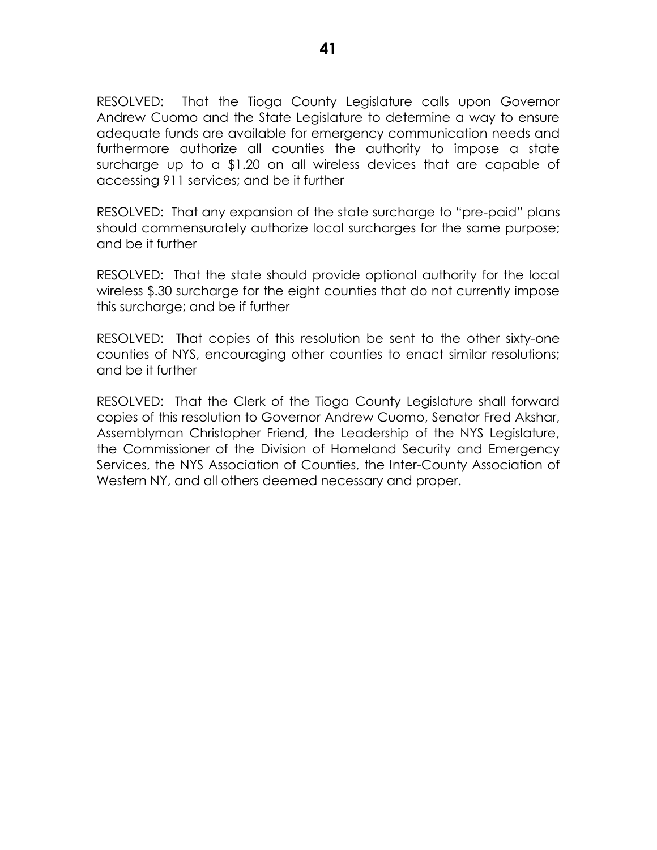RESOLVED: That the Tioga County Legislature calls upon Governor Andrew Cuomo and the State Legislature to determine a way to ensure adequate funds are available for emergency communication needs and furthermore authorize all counties the authority to impose a state surcharge up to a \$1.20 on all wireless devices that are capable of accessing 911 services; and be it further

RESOLVED: That any expansion of the state surcharge to "pre-paid" plans should commensurately authorize local surcharges for the same purpose; and be it further

RESOLVED: That the state should provide optional authority for the local wireless \$.30 surcharge for the eight counties that do not currently impose this surcharge; and be if further

RESOLVED: That copies of this resolution be sent to the other sixty-one counties of NYS, encouraging other counties to enact similar resolutions; and be it further

RESOLVED: That the Clerk of the Tioga County Legislature shall forward copies of this resolution to Governor Andrew Cuomo, Senator Fred Akshar, Assemblyman Christopher Friend, the Leadership of the NYS Legislature, the Commissioner of the Division of Homeland Security and Emergency Services, the NYS Association of Counties, the Inter-County Association of Western NY, and all others deemed necessary and proper.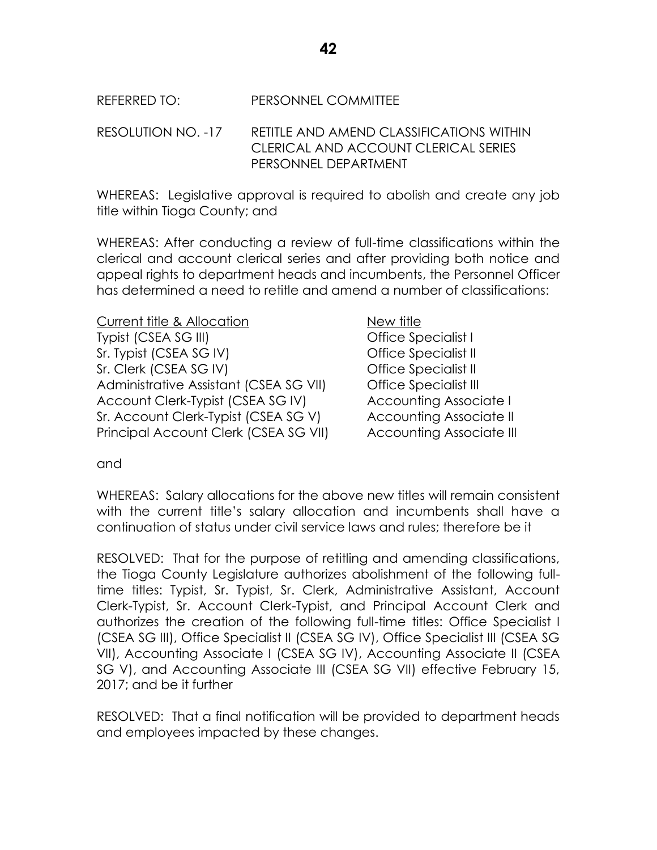RESOLUTION NO. -17 RETITLE AND AMEND CLASSIFICATIONS WITHIN CLERICAL AND ACCOUNT CLERICAL SERIES PERSONNEL DEPARTMENT

WHEREAS: Legislative approval is required to abolish and create any job title within Tioga County; and

WHEREAS: After conducting a review of full-time classifications within the clerical and account clerical series and after providing both notice and appeal rights to department heads and incumbents, the Personnel Officer has determined a need to retitle and amend a number of classifications:

Current title & Allocation New title Typist (CSEA SG III) Office Specialist I Sr. Typist (CSEA SG IV) CFF CONTROLLER Specialist II Sr. Clerk (CSEA SG IV) Cffice Specialist II Administrative Assistant (CSEA SG VII) Office Specialist III Account Clerk-Typist (CSEA SG IV) Accounting Associate I Sr. Account Clerk-Typist (CSEA SG V) Accounting Associate II Principal Account Clerk (CSEA SG VII) Accounting Associate III

and

WHEREAS: Salary allocations for the above new titles will remain consistent with the current title's salary allocation and incumbents shall have a continuation of status under civil service laws and rules; therefore be it

RESOLVED: That for the purpose of retitling and amending classifications, the Tioga County Legislature authorizes abolishment of the following fulltime titles: Typist, Sr. Typist, Sr. Clerk, Administrative Assistant, Account Clerk-Typist, Sr. Account Clerk-Typist, and Principal Account Clerk and authorizes the creation of the following full-time titles: Office Specialist I (CSEA SG III), Office Specialist II (CSEA SG IV), Office Specialist III (CSEA SG VII), Accounting Associate I (CSEA SG IV), Accounting Associate II (CSEA SG V), and Accounting Associate III (CSEA SG VII) effective February 15, 2017; and be it further

RESOLVED: That a final notification will be provided to department heads and employees impacted by these changes.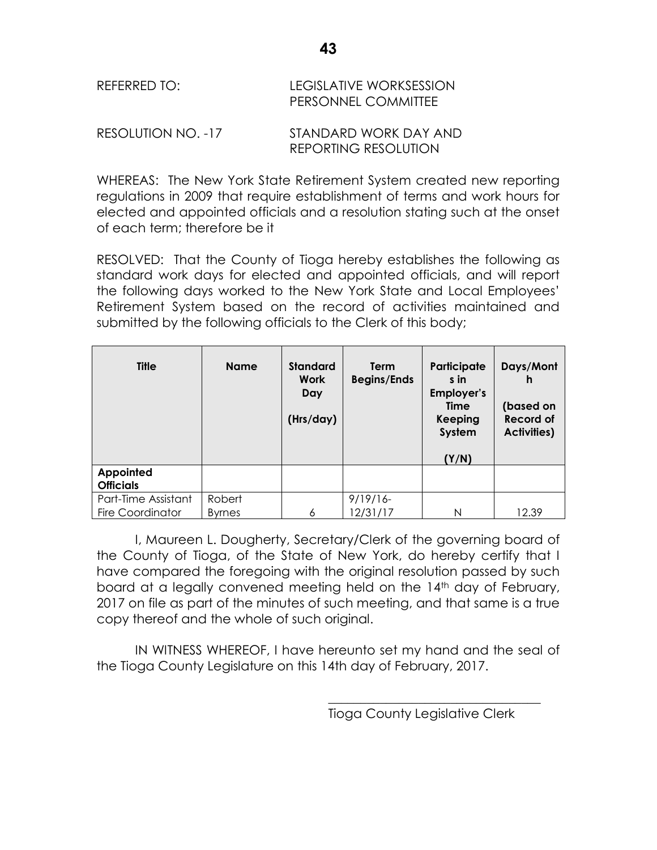| REFERRED TO:       | LEGISLATIVE WORKSESSION<br>PERSONNEL COMMITTEE |
|--------------------|------------------------------------------------|
| RESOLUTION NO. -17 | STANDARD WORK DAY AND                          |

WHEREAS: The New York State Retirement System created new reporting regulations in 2009 that require establishment of terms and work hours for elected and appointed officials and a resolution stating such at the onset of each term; therefore be it

REPORTING RESOLUTION

RESOLVED: That the County of Tioga hereby establishes the following as standard work days for elected and appointed officials, and will report the following days worked to the New York State and Local Employees' Retirement System based on the record of activities maintained and submitted by the following officials to the Clerk of this body;

| <b>Title</b>                  | <b>Name</b>   | <b>Standard</b><br><b>Work</b><br>Day<br>(Hrs/day) | <b>Term</b><br><b>Begins/Ends</b> | Participate<br>s in<br>Employer's<br><b>Time</b><br>Keeping<br>System<br>(Y/N) | Days/Mont<br>h<br>(based on<br><b>Record of</b><br><b>Activities)</b> |
|-------------------------------|---------------|----------------------------------------------------|-----------------------------------|--------------------------------------------------------------------------------|-----------------------------------------------------------------------|
| Appointed<br><b>Officials</b> |               |                                                    |                                   |                                                                                |                                                                       |
| Part-Time Assistant           | Robert        |                                                    | $9/19/16-$                        |                                                                                |                                                                       |
| <b>Fire Coordinator</b>       | <b>Byrnes</b> | 6                                                  | 12/31/17                          | N                                                                              | 12.39                                                                 |

I, Maureen L. Dougherty, Secretary/Clerk of the governing board of the County of Tioga, of the State of New York, do hereby certify that I have compared the foregoing with the original resolution passed by such board at a legally convened meeting held on the 14<sup>th</sup> day of February, 2017 on file as part of the minutes of such meeting, and that same is a true copy thereof and the whole of such original.

IN WITNESS WHEREOF, I have hereunto set my hand and the seal of the Tioga County Legislature on this 14th day of February, 2017.

Tioga County Legislative Clerk

\_\_\_\_\_\_\_\_\_\_\_\_\_\_\_\_\_\_\_\_\_\_\_\_\_\_\_\_\_\_\_\_\_